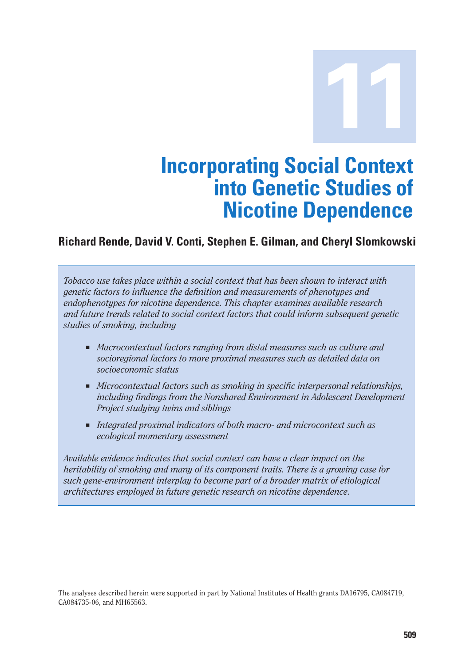**11**

## **Incorporating Social Context into Genetic Studies of Nicotine Dependence**

#### **Richard Rende, David V. Conti, Stephen E. Gilman, and Cheryl Slomkowski**

*Tobacco use takes place within a social context that has been shown to interact with genetic factors to influence the definition and measurements of phenotypes and endophenotypes for nicotine dependence. This chapter examines available research and future trends related to social context factors that could inform subsequent genetic studies of smoking, including* 

- *Macrocontextual factors ranging from distal measures such as culture and socioregional factors to more proximal measures such as detailed data on socioeconomic status*
- *Microcontextual factors such as smoking in specific interpersonal relationships, including findings from the Nonshared Environment in Adolescent Development Project studying twins and siblings*
- *Integrated proximal indicators of both macro- and microcontext such as ecological momentary assessment*

*Available evidence indicates that social context can have a clear impact on the heritability of smoking and many of its component traits. There is a growing case for such gene-environment interplay to become part of a broader matrix of etiological architectures employed in future genetic research on nicotine dependence.* 

The analyses described herein were supported in part by National Institutes of Health grants DA16795, CA084719, CA084735-06, and MH65563.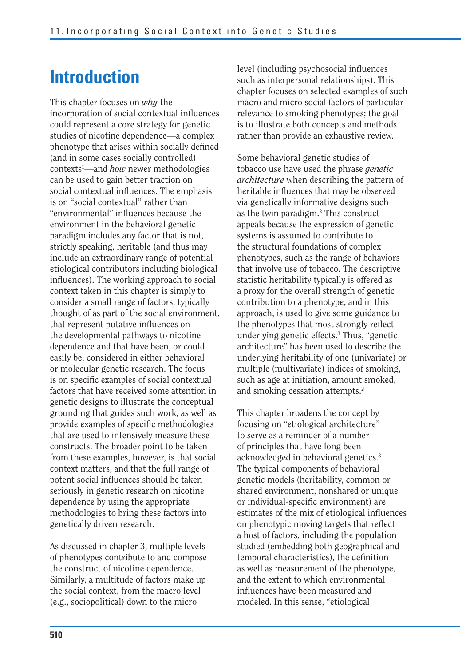## **Introduction**

This chapter focuses on *why* the incorporation of social contextual influences could represent a core strategy for genetic studies of nicotine dependence—a complex phenotype that arises within socially defined (and in some cases socially controlled) contexts1 —and *how* newer methodologies can be used to gain better traction on social contextual influences. The emphasis is on "social contextual" rather than "environmental" influences because the environment in the behavioral genetic paradigm includes any factor that is not, strictly speaking, heritable (and thus may include an extraordinary range of potential etiological contributors including biological influences). The working approach to social context taken in this chapter is simply to consider a small range of factors, typically thought of as part of the social environment, that represent putative influences on the developmental pathways to nicotine dependence and that have been, or could easily be, considered in either behavioral or molecular genetic research. The focus is on specific examples of social contextual factors that have received some attention in genetic designs to illustrate the conceptual grounding that guides such work, as well as provide examples of specific methodologies that are used to intensively measure these constructs. The broader point to be taken from these examples, however, is that social context matters, and that the full range of potent social influences should be taken seriously in genetic research on nicotine dependence by using the appropriate methodologies to bring these factors into genetically driven research.

As discussed in chapter 3, multiple levels of phenotypes contribute to and compose the construct of nicotine dependence. Similarly, a multitude of factors make up the social context, from the macro level (e.g., sociopolitical) down to the micro

level (including psychosocial influences such as interpersonal relationships). This chapter focuses on selected examples of such macro and micro social factors of particular relevance to smoking phenotypes; the goal is to illustrate both concepts and methods rather than provide an exhaustive review.

Some behavioral genetic studies of tobacco use have used the phrase *genetic architecture* when describing the pattern of heritable influences that may be observed via genetically informative designs such as the twin paradigm.2 This construct appeals because the expression of genetic systems is assumed to contribute to the structural foundations of complex phenotypes, such as the range of behaviors that involve use of tobacco. The descriptive statistic heritability typically is offered as a proxy for the overall strength of genetic contribution to a phenotype, and in this approach, is used to give some guidance to the phenotypes that most strongly reflect underlying genetic effects.3 Thus, "genetic architecture" has been used to describe the underlying heritability of one (univariate) or multiple (multivariate) indices of smoking, such as age at initiation, amount smoked, and smoking cessation attempts.2

This chapter broadens the concept by focusing on "etiological architecture" to serve as a reminder of a number of principles that have long been acknowledged in behavioral genetics.3 The typical components of behavioral genetic models (heritability, common or shared environment, nonshared or unique or individual-specific environment) are estimates of the mix of etiological influences on phenotypic moving targets that reflect a host of factors, including the population studied (embedding both geographical and temporal characteristics), the definition as well as measurement of the phenotype, and the extent to which environmental influences have been measured and modeled. In this sense, "etiological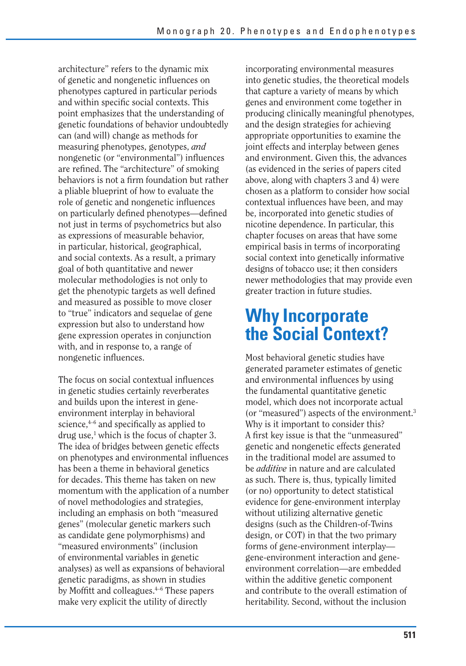architecture" refers to the dynamic mix of genetic and nongenetic influences on phenotypes captured in particular periods and within specific social contexts. This point emphasizes that the understanding of genetic foundations of behavior undoubtedly can (and will) change as methods for measuring phenotypes, genotypes, *and*  nongenetic (or "environmental") influences are refined. The "architecture" of smoking behaviors is not a firm foundation but rather a pliable blueprint of how to evaluate the role of genetic and nongenetic influences on particularly defined phenotypes—defined not just in terms of psychometrics but also as expressions of measurable behavior, in particular, historical, geographical, and social contexts. As a result, a primary goal of both quantitative and newer molecular methodologies is not only to get the phenotypic targets as well defined and measured as possible to move closer to "true" indicators and sequelae of gene expression but also to understand how gene expression operates in conjunction with, and in response to, a range of nongenetic influences.

The focus on social contextual influences in genetic studies certainly reverberates and builds upon the interest in geneenvironment interplay in behavioral science, $4-6$  and specifically as applied to drug use,<sup>1</sup> which is the focus of chapter 3. The idea of bridges between genetic effects on phenotypes and environmental influences has been a theme in behavioral genetics for decades. This theme has taken on new momentum with the application of a number of novel methodologies and strategies, including an emphasis on both "measured genes" (molecular genetic markers such as candidate gene polymorphisms) and "measured environments" (inclusion of environmental variables in genetic analyses) as well as expansions of behavioral genetic paradigms, as shown in studies by Moffitt and colleagues.4–6 These papers make very explicit the utility of directly

incorporating environmental measures into genetic studies, the theoretical models that capture a variety of means by which genes and environment come together in producing clinically meaningful phenotypes, and the design strategies for achieving appropriate opportunities to examine the joint effects and interplay between genes and environment. Given this, the advances (as evidenced in the series of papers cited above, along with chapters 3 and 4) were chosen as a platform to consider how social contextual influences have been, and may be, incorporated into genetic studies of nicotine dependence. In particular, this chapter focuses on areas that have some empirical basis in terms of incorporating social context into genetically informative designs of tobacco use; it then considers newer methodologies that may provide even greater traction in future studies.

### **Why Incorporate the Social Context?**

Most behavioral genetic studies have generated parameter estimates of genetic and environmental influences by using the fundamental quantitative genetic model, which does not incorporate actual (or "measured") aspects of the environment.3 Why is it important to consider this? A first key issue is that the "unmeasured" genetic and nongenetic effects generated in the traditional model are assumed to be *additive* in nature and are calculated as such. There is, thus, typically limited (or no) opportunity to detect statistical evidence for gene-environment interplay without utilizing alternative genetic designs (such as the Children-of-Twins design, or COT) in that the two primary forms of gene-environment interplay gene-environment interaction and geneenvironment correlation—are embedded within the additive genetic component and contribute to the overall estimation of heritability. Second, without the inclusion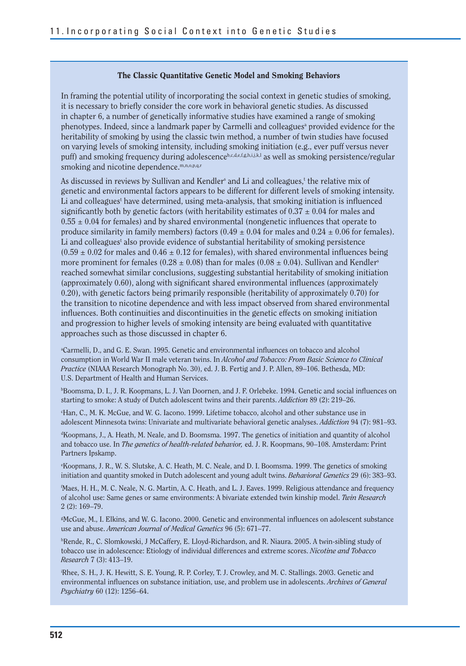#### **The Classic Quantitative Genetic Model and Smoking Behaviors**

In framing the potential utility of incorporating the social context in genetic studies of smoking, it is necessary to briefly consider the core work in behavioral genetic studies. As discussed in chapter 6, a number of genetically informative studies have examined a range of smoking phenotypes. Indeed, since a landmark paper by Carmelli and colleagues<sup>a</sup> provided evidence for the heritability of smoking by using the classic twin method, a number of twin studies have focused on varying levels of smoking intensity, including smoking initiation (e.g., ever puff versus never puff) and smoking frequency during adolescenceb,c,d,e,f,g,h,i,j,k,l as well as smoking persistence/regular smoking and nicotine dependence.<sup>m,n,o,p,q,r</sup>

As discussed in reviews by Sullivan and Kendler<sup>s</sup> and Li and colleagues,<sup>t</sup> the relative mix of genetic and environmental factors appears to be different for different levels of smoking intensity. Li and colleagues<sup>t</sup> have determined, using meta-analysis, that smoking initiation is influenced significantly both by genetic factors (with heritability estimates of  $0.37 \pm 0.04$  for males and  $0.55 \pm 0.04$  for females) and by shared environmental (nongenetic influences that operate to produce similarity in family members) factors  $(0.49 \pm 0.04$  for males and  $0.24 \pm 0.06$  for females). Li and colleagues<sup>t</sup> also provide evidence of substantial heritability of smoking persistence  $(0.59 \pm 0.02$  for males and  $0.46 \pm 0.12$  for females), with shared environmental influences being more prominent for females (0.28  $\pm$  0.08) than for males (0.08  $\pm$  0.04). Sullivan and Kendler<sup>s</sup> reached somewhat similar conclusions, suggesting substantial heritability of smoking initiation (approximately 0.60), along with significant shared environmental influences (approximately 0.20), with genetic factors being primarily responsible (heritability of approximately 0.70) for the transition to nicotine dependence and with less impact observed from shared environmental influences. Both continuities and discontinuities in the genetic effects on smoking initiation and progression to higher levels of smoking intensity are being evaluated with quantitative approaches such as those discussed in chapter 6.

a Carmelli, D., and G. E. Swan. 1995. Genetic and environmental influences on tobacco and alcohol consumption in World War II male veteran twins. In *Alcohol and Tobacco: From Basic Science to Clinical Practice* (NIAAA Research Monograph No. 30), ed. J. B. Fertig and J. P. Allen, 89–106. Bethesda, MD: U.S. Department of Health and Human Services.

<sup>b</sup>Boomsma, D. I., J. R. Koopmans, L. J. Van Doornen, and J. F. Orlebeke. 1994. Genetic and social influences on starting to smoke: A study of Dutch adolescent twins and their parents. *Addiction* 89 (2): 219–26.

c Han, C., M. K. McGue, and W. G. Iacono. 1999. Lifetime tobacco, alcohol and other substance use in adolescent Minnesota twins: Univariate and multivariate behavioral genetic analyses. *Addiction* 94 (7): 981–93.

d Koopmans, J., A. Heath, M. Neale, and D. Boomsma. 1997. The genetics of initiation and quantity of alcohol and tobacco use. In *The genetics of health-related behavior,* ed. J. R. Koopmans, 90–108. Amsterdam: Print Partners Ipskamp.

e Koopmans, J. R., W. S. Slutske, A. C. Heath, M. C. Neale, and D. I. Boomsma. 1999. The genetics of smoking initiation and quantity smoked in Dutch adolescent and young adult twins. *Behavioral Genetics* 29 (6): 383–93.

f Maes, H. H., M. C. Neale, N. G. Martin, A. C. Heath, and L. J. Eaves. 1999. Religious attendance and frequency of alcohol use: Same genes or same environments: A bivariate extended twin kinship model. *Twin Research*  2 (2): 169–79.

g McGue, M., I. Elkins, and W. G. Iacono. 2000. Genetic and environmental influences on adolescent substance use and abuse. *American Journal of Medical Genetics* 96 (5): 671–77.

h Rende, R., C. Slomkowski, J McCaffery, E. Lloyd-Richardson, and R. Niaura. 2005. A twin-sibling study of tobacco use in adolescence: Etiology of individual differences and extreme scores. *Nicotine and Tobacco Research* 7 (3): 413–19.

i Rhee, S. H., J. K. Hewitt, S. E. Young, R. P. Corley, T. J. Crowley, and M. C. Stallings. 2003. Genetic and environmental influences on substance initiation, use, and problem use in adolescents. *Archives of General Psychiatry* 60 (12): 1256–64.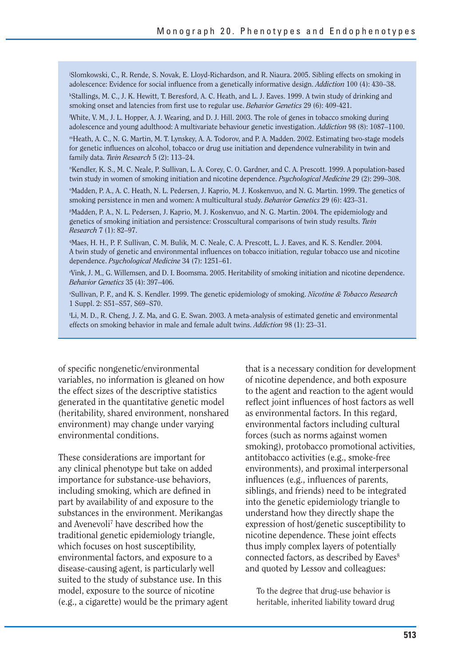j Slomkowski, C., R. Rende, S. Novak, E. Lloyd-Richardson, and R. Niaura. 2005. Sibling effects on smoking in adolescence: Evidence for social influence from a genetically informative design. *Addiction* 100 (4): 430–38.

k Stallings, M. C., J. K. Hewitt, T. Beresford, A. C. Heath, and L. J. Eaves. 1999. A twin study of drinking and smoking onset and latencies from first use to regular use. *Behavior Genetics* 29 (6): 409-421.

l White, V. M., J. L. Hopper, A. J. Wearing, and D. J. Hill. 2003. The role of genes in tobacco smoking during adolescence and young adulthood: A multivariate behaviour genetic investigation. *Addiction* 98 (8): 1087–1100.

mHeath, A. C., N. G. Martin, M. T. Lynskey, A. A. Todorov, and P. A. Madden. 2002. Estimating two-stage models for genetic influences on alcohol, tobacco or drug use initiation and dependence vulnerability in twin and family data. *Twin Research* 5 (2): 113–24.

n Kendler, K. S., M. C. Neale, P. Sullivan, L. A. Corey, C. O. Gardner, and C. A. Prescott. 1999. A population-based twin study in women of smoking initiation and nicotine dependence. *Psychological Medicine* 29 (2): 299–308.

Madden, P. A., A. C. Heath, N. L. Pedersen, J. Kaprio, M. J. Koskenvuo, and N. G. Martin. 1999. The genetics of smoking persistence in men and women: A multicultural study. *Behavior Genetics* 29 (6): 423–31.

p Madden, P. A., N. L. Pedersen, J. Kaprio, M. J. Koskenvuo, and N. G. Martin. 2004. The epidemiology and genetics of smoking initiation and persistence: Crosscultural comparisons of twin study results. *Twin Research* 7 (1): 82–97.

q Maes, H. H., P. F. Sullivan, C. M. Bulik, M. C. Neale, C. A. Prescott, L. J. Eaves, and K. S. Kendler. 2004. A twin study of genetic and environmental influences on tobacco initiation, regular tobacco use and nicotine dependence. *Psychological Medicine* 34 (7): 1251–61.

r Vink, J. M., G. Willemsen, and D. I. Boomsma. 2005. Heritability of smoking initiation and nicotine dependence. *Behavior Genetics* 35 (4): 397–406.

s Sullivan, P. F., and K. S. Kendler. 1999. The genetic epidemiology of smoking. *Nicotine & Tobacco Research* 1 Suppl. 2: S51–S57, S69–S70.

t Li, M. D., R. Cheng, J. Z. Ma, and G. E. Swan. 2003. A meta-analysis of estimated genetic and environmental effects on smoking behavior in male and female adult twins. *Addiction* 98 (1): 23–31.

of specific nongenetic/environmental variables, no information is gleaned on how the effect sizes of the descriptive statistics generated in the quantitative genetic model (heritability, shared environment, nonshared environment) may change under varying environmental conditions.

These considerations are important for any clinical phenotype but take on added importance for substance-use behaviors, including smoking, which are defined in part by availability of and exposure to the substances in the environment. Merikangas and Avenevoli7 have described how the traditional genetic epidemiology triangle, which focuses on host susceptibility, environmental factors, and exposure to a disease-causing agent, is particularly well suited to the study of substance use. In this model, exposure to the source of nicotine (e.g., a cigarette) would be the primary agent that is a necessary condition for development of nicotine dependence, and both exposure to the agent and reaction to the agent would reflect joint influences of host factors as well as environmental factors. In this regard, environmental factors including cultural forces (such as norms against women smoking), protobacco promotional activities, antitobacco activities (e.g., smoke-free environments), and proximal interpersonal influences (e.g., influences of parents, siblings, and friends) need to be integrated into the genetic epidemiology triangle to understand how they directly shape the expression of host/genetic susceptibility to nicotine dependence. These joint effects thus imply complex layers of potentially connected factors, as described by Eaves<sup>8</sup> and quoted by Lessov and colleagues:

To the degree that drug-use behavior is heritable, inherited liability toward drug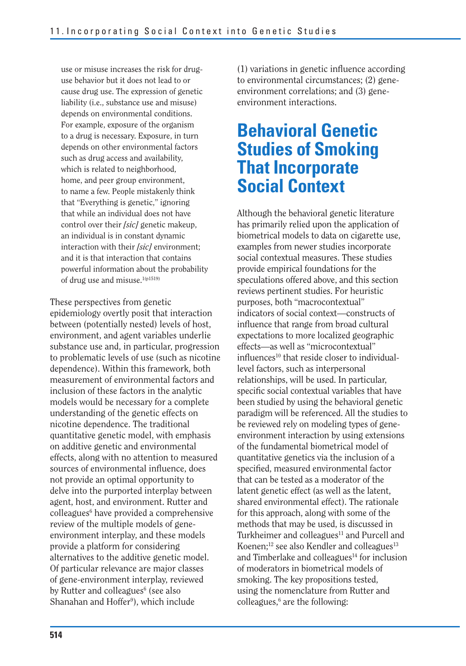use or misuse increases the risk for druguse behavior but it does not lead to or cause drug use. The expression of genetic liability (i.e., substance use and misuse) depends on environmental conditions. For example, exposure of the organism to a drug is necessary. Exposure, in turn depends on other environmental factors such as drug access and availability, which is related to neighborhood, home, and peer group environment, to name a few. People mistakenly think that "Everything is genetic," ignoring that while an individual does not have control over their *[sic]* genetic makeup, an individual is in constant dynamic interaction with their *[sic]* environment; and it is that interaction that contains powerful information about the probability of drug use and misuse.<sup>1(p1519)</sup>

These perspectives from genetic epidemiology overtly posit that interaction between (potentially nested) levels of host, environment, and agent variables underlie substance use and, in particular, progression to problematic levels of use (such as nicotine dependence). Within this framework, both measurement of environmental factors and inclusion of these factors in the analytic models would be necessary for a complete understanding of the genetic effects on nicotine dependence. The traditional quantitative genetic model, with emphasis on additive genetic and environmental effects, along with no attention to measured sources of environmental influence, does not provide an optimal opportunity to delve into the purported interplay between agent, host, and environment. Rutter and colleagues<sup>6</sup> have provided a comprehensive review of the multiple models of geneenvironment interplay, and these models provide a platform for considering alternatives to the additive genetic model. Of particular relevance are major classes of gene-environment interplay, reviewed by Rutter and colleagues<sup>6</sup> (see also Shanahan and Hoffer<sup>9</sup>), which include

 $(1)$  variations in genetic influence according to environmental circumstances; (2) geneenvironment correlations; and (3) geneenvironment interactions.

### **Behavioral Genetic Studies of Smoking That Incorporate Social Context**

Although the behavioral genetic literature has primarily relied upon the application of biometrical models to data on cigarette use, examples from newer studies incorporate social contextual measures. These studies provide empirical foundations for the speculations offered above, and this section reviews pertinent studies. For heuristic purposes, both "macrocontextual" indicators of social context—constructs of influence that range from broad cultural expectations to more localized geographic effects—as well as "microcontextual"  $influences<sup>10</sup>$  that reside closer to individuallevel factors, such as interpersonal relationships, will be used. In particular, specific social contextual variables that have been studied by using the behavioral genetic paradigm will be referenced. All the studies to be reviewed rely on modeling types of geneenvironment interaction by using extensions of the fundamental biometrical model of quantitative genetics via the inclusion of a specified, measured environmental factor that can be tested as a moderator of the latent genetic effect (as well as the latent, shared environmental effect). The rationale for this approach, along with some of the methods that may be used, is discussed in Turkheimer and colleagues<sup>11</sup> and Purcell and Koenen;<sup>12</sup> see also Kendler and colleagues<sup>13</sup> and Timberlake and colleagues<sup>14</sup> for inclusion of moderators in biometrical models of smoking. The key propositions tested, using the nomenclature from Rutter and colleagues,<sup>6</sup> are the following: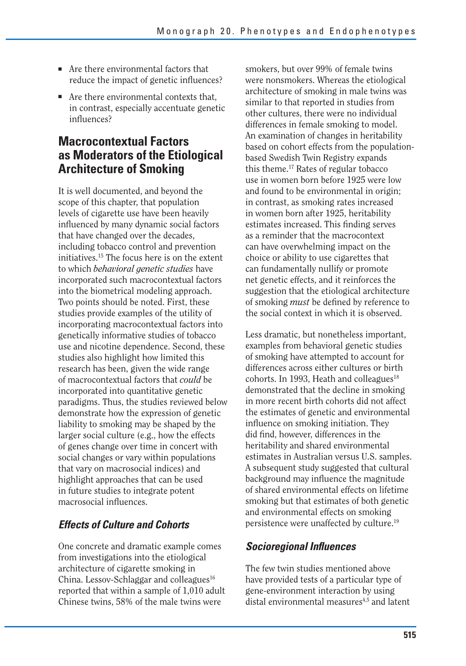- Are there environmental factors that reduce the impact of genetic influences?
- Are there environmental contexts that, in contrast, especially accentuate genetic influences?

#### **Macrocontextual Factors as Moderators of the Etiological Architecture of Smoking**

It is well documented, and beyond the scope of this chapter, that population levels of cigarette use have been heavily influenced by many dynamic social factors that have changed over the decades, including tobacco control and prevention initiatives.15 The focus here is on the extent to which *behavioral genetic studies* have incorporated such macrocontextual factors into the biometrical modeling approach. Two points should be noted. First, these studies provide examples of the utility of incorporating macrocontextual factors into genetically informative studies of tobacco use and nicotine dependence. Second, these studies also highlight how limited this research has been, given the wide range of macrocontextual factors that *could* be incorporated into quantitative genetic paradigms. Thus, the studies reviewed below demonstrate how the expression of genetic liability to smoking may be shaped by the larger social culture (e.g., how the effects of genes change over time in concert with social changes or vary within populations that vary on macrosocial indices) and highlight approaches that can be used in future studies to integrate potent macrosocial influences.

#### *Effects of Culture and Cohorts*

One concrete and dramatic example comes from investigations into the etiological architecture of cigarette smoking in China. Lessov-Schlaggar and colleagues<sup>16</sup> reported that within a sample of 1,010 adult Chinese twins, 58% of the male twins were

smokers, but over 99% of female twins were nonsmokers. Whereas the etiological architecture of smoking in male twins was similar to that reported in studies from other cultures, there were no individual differences in female smoking to model. An examination of changes in heritability based on cohort effects from the populationbased Swedish Twin Registry expands this theme.17 Rates of regular tobacco use in women born before 1925 were low and found to be environmental in origin; in contrast, as smoking rates increased in women born after 1925, heritability estimates increased. This finding serves as a reminder that the macrocontext can have overwhelming impact on the choice or ability to use cigarettes that can fundamentally nullify or promote net genetic effects, and it reinforces the suggestion that the etiological architecture of smoking *must* be defined by reference to the social context in which it is observed.

Less dramatic, but nonetheless important, examples from behavioral genetic studies of smoking have attempted to account for differences across either cultures or birth cohorts. In 1993, Heath and colleagues $18$ demonstrated that the decline in smoking in more recent birth cohorts did not affect the estimates of genetic and environmental influence on smoking initiation. They did find, however, differences in the heritability and shared environmental estimates in Australian versus U.S. samples. A subsequent study suggested that cultural background may influence the magnitude of shared environmental effects on lifetime smoking but that estimates of both genetic and environmental effects on smoking persistence were unaffected by culture.19

#### **Socioregional Influences**

The few twin studies mentioned above have provided tests of a particular type of gene-environment interaction by using distal environmental measures<sup>4,5</sup> and latent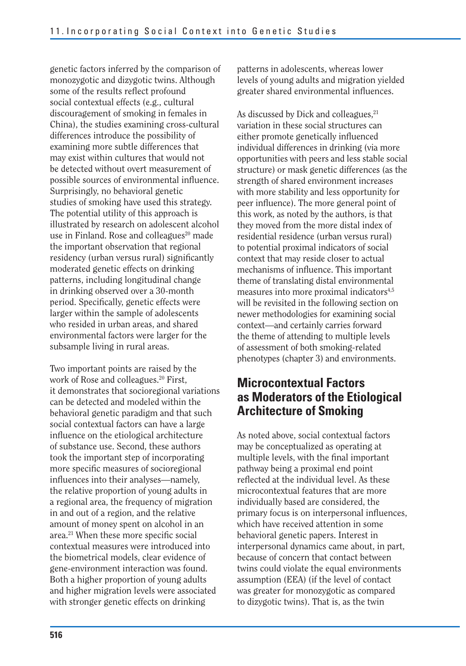genetic factors inferred by the comparison of monozygotic and dizygotic twins. Although some of the results reflect profound social contextual effects (e.g., cultural discouragement of smoking in females in China), the studies examining cross-cultural differences introduce the possibility of examining more subtle differences that may exist within cultures that would not be detected without overt measurement of possible sources of environmental influence. Surprisingly, no behavioral genetic studies of smoking have used this strategy. The potential utility of this approach is illustrated by research on adolescent alcohol use in Finland. Rose and colleagues<sup>20</sup> made the important observation that regional residency (urban versus rural) significantly moderated genetic effects on drinking patterns, including longitudinal change in drinking observed over a 30-month period. Specifically, genetic effects were larger within the sample of adolescents who resided in urban areas, and shared environmental factors were larger for the subsample living in rural areas.

Two important points are raised by the work of Rose and colleagues.<sup>20</sup> First, it demonstrates that socioregional variations can be detected and modeled within the behavioral genetic paradigm and that such social contextual factors can have a large influence on the etiological architecture of substance use. Second, these authors took the important step of incorporating more specific measures of socioregional influences into their analyses—namely, the relative proportion of young adults in a regional area, the frequency of migration in and out of a region, and the relative amount of money spent on alcohol in an area.<sup>21</sup> When these more specific social contextual measures were introduced into the biometrical models, clear evidence of gene-environment interaction was found. Both a higher proportion of young adults and higher migration levels were associated with stronger genetic effects on drinking

patterns in adolescents, whereas lower levels of young adults and migration yielded greater shared environmental influences.

As discussed by Dick and colleagues,<sup>21</sup> variation in these social structures can either promote genetically influenced individual differences in drinking (via more opportunities with peers and less stable social structure) or mask genetic differences (as the strength of shared environment increases with more stability and less opportunity for peer influence). The more general point of this work, as noted by the authors, is that they moved from the more distal index of residential residence (urban versus rural) to potential proximal indicators of social context that may reside closer to actual mechanisms of influence. This important theme of translating distal environmental measures into more proximal indicators<sup>4,5</sup> will be revisited in the following section on newer methodologies for examining social context—and certainly carries forward the theme of attending to multiple levels of assessment of both smoking-related phenotypes (chapter 3) and environments.

### **Microcontextual Factors as Moderators of the Etiological Architecture of Smoking**

As noted above, social contextual factors may be conceptualized as operating at multiple levels, with the final important pathway being a proximal end point reflected at the individual level. As these microcontextual features that are more individually based are considered, the primary focus is on interpersonal influences, which have received attention in some behavioral genetic papers. Interest in interpersonal dynamics came about, in part, because of concern that contact between twins could violate the equal environments assumption (EEA) (if the level of contact was greater for monozygotic as compared to dizygotic twins). That is, as the twin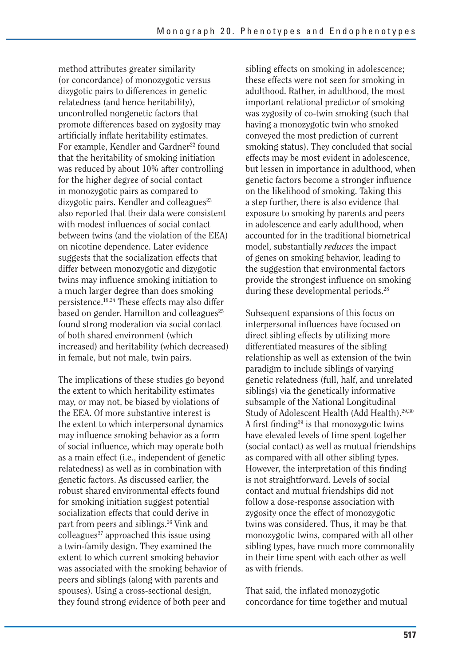method attributes greater similarity (or concordance) of monozygotic versus dizygotic pairs to differences in genetic relatedness (and hence heritability), uncontrolled nongenetic factors that promote differences based on zygosity may artificially inflate heritability estimates. For example, Kendler and Gardner<sup>22</sup> found that the heritability of smoking initiation was reduced by about 10% after controlling for the higher degree of social contact in monozygotic pairs as compared to dizygotic pairs. Kendler and colleagues<sup>23</sup> also reported that their data were consistent with modest influences of social contact between twins (and the violation of the EEA) on nicotine dependence. Later evidence suggests that the socialization effects that differ between monozygotic and dizygotic twins may influence smoking initiation to a much larger degree than does smoking persistence.19,24 These effects may also differ based on gender. Hamilton and colleagues $^{25}$ found strong moderation via social contact of both shared environment (which increased) and heritability (which decreased) in female, but not male, twin pairs.

The implications of these studies go beyond the extent to which heritability estimates may, or may not, be biased by violations of the EEA. Of more substantive interest is the extent to which interpersonal dynamics may influence smoking behavior as a form of social influence, which may operate both as a main effect (i.e., independent of genetic relatedness) as well as in combination with genetic factors. As discussed earlier, the robust shared environmental effects found for smoking initiation suggest potential socialization effects that could derive in part from peers and siblings.26 Vink and colleagues<sup>27</sup> approached this issue using a twin-family design. They examined the extent to which current smoking behavior was associated with the smoking behavior of peers and siblings (along with parents and spouses). Using a cross-sectional design, they found strong evidence of both peer and

sibling effects on smoking in adolescence; these effects were not seen for smoking in adulthood. Rather, in adulthood, the most important relational predictor of smoking was zygosity of co-twin smoking (such that having a monozygotic twin who smoked conveyed the most prediction of current smoking status). They concluded that social effects may be most evident in adolescence, but lessen in importance in adulthood, when genetic factors become a stronger influence on the likelihood of smoking. Taking this a step further, there is also evidence that exposure to smoking by parents and peers in adolescence and early adulthood, when accounted for in the traditional biometrical model, substantially *reduces* the impact of genes on smoking behavior, leading to the suggestion that environmental factors provide the strongest influence on smoking during these developmental periods.<sup>28</sup>

Subsequent expansions of this focus on interpersonal influences have focused on direct sibling effects by utilizing more differentiated measures of the sibling relationship as well as extension of the twin paradigm to include siblings of varying genetic relatedness (full, half, and unrelated siblings) via the genetically informative subsample of the National Longitudinal Study of Adolescent Health (Add Health).29,30 A first finding<sup>29</sup> is that monozygotic twins have elevated levels of time spent together (social contact) as well as mutual friendships as compared with all other sibling types. However, the interpretation of this finding is not straightforward. Levels of social contact and mutual friendships did not follow a dose-response association with zygosity once the effect of monozygotic twins was considered. Thus, it may be that monozygotic twins, compared with all other sibling types, have much more commonality in their time spent with each other as well as with friends.

That said, the inflated monozygotic concordance for time together and mutual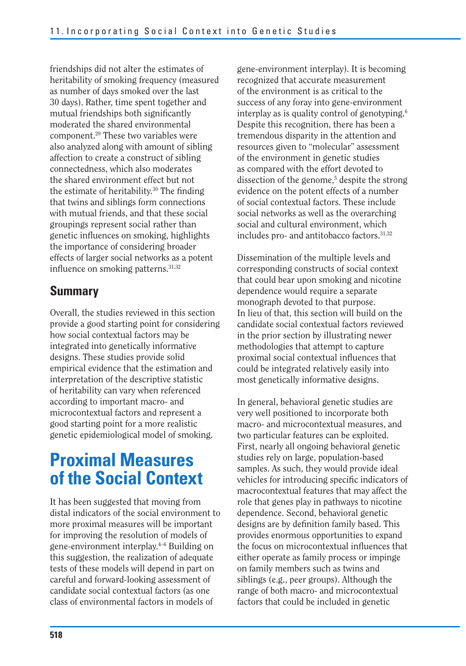friendships did not alter the estimates of heritability of smoking frequency (measured as number of days smoked over the last 30 days). Rather, time spent together and mutual friendships both significantly moderated the shared environmental component.29 These two variables were also analyzed along with amount of sibling affection to create a construct of sibling connectedness, which also moderates the shared environment effect but not the estimate of heritability.<sup>30</sup> The finding that twins and siblings form connections with mutual friends, and that these social groupings represent social rather than genetic influences on smoking, highlights the importance of considering broader effects of larger social networks as a potent influence on smoking patterns.<sup>31,32</sup>

### **Summary**

Overall, the studies reviewed in this section provide a good starting point for considering how social contextual factors may be integrated into genetically informative designs. These studies provide solid empirical evidence that the estimation and interpretation of the descriptive statistic of heritability can vary when referenced according to important macro- and microcontextual factors and represent a good starting point for a more realistic genetic epidemiological model of smoking.

## **Proximal Measures of the Social Context**

It has been suggested that moving from distal indicators of the social environment to more proximal measures will be important for improving the resolution of models of gene-environment interplay.4–6 Building on this suggestion, the realization of adequate tests of these models will depend in part on careful and forward-looking assessment of candidate social contextual factors (as one class of environmental factors in models of

gene-environment interplay). It is becoming recognized that accurate measurement of the environment is as critical to the success of any foray into gene-environment interplay as is quality control of genotyping.6 Despite this recognition, there has been a tremendous disparity in the attention and resources given to "molecular" assessment of the environment in genetic studies as compared with the effort devoted to dissection of the genome,<sup>5</sup> despite the strong evidence on the potent effects of a number of social contextual factors. These include social networks as well as the overarching social and cultural environment, which includes pro- and antitobacco factors.31,32

Dissemination of the multiple levels and corresponding constructs of social context that could bear upon smoking and nicotine dependence would require a separate monograph devoted to that purpose. In lieu of that, this section will build on the candidate social contextual factors reviewed in the prior section by illustrating newer methodologies that attempt to capture proximal social contextual influences that could be integrated relatively easily into most genetically informative designs.

In general, behavioral genetic studies are very well positioned to incorporate both macro- and microcontextual measures, and two particular features can be exploited. First, nearly all ongoing behavioral genetic studies rely on large, population-based samples. As such, they would provide ideal vehicles for introducing specific indicators of macrocontextual features that may affect the role that genes play in pathways to nicotine dependence. Second, behavioral genetic designs are by definition family based. This provides enormous opportunities to expand the focus on microcontextual influences that either operate as family process or impinge on family members such as twins and siblings (e.g., peer groups). Although the range of both macro- and microcontextual factors that could be included in genetic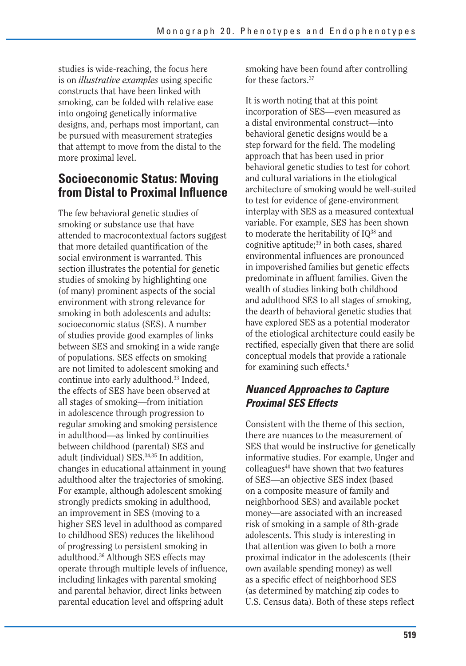studies is wide-reaching, the focus here is on *illustrative examples* using specific constructs that have been linked with smoking, can be folded with relative ease into ongoing genetically informative designs, and, perhaps most important, can be pursued with measurement strategies that attempt to move from the distal to the more proximal level.

### **Socioeconomic Status: Moving from Distal to Proximal Influence**

The few behavioral genetic studies of smoking or substance use that have attended to macrocontextual factors suggest that more detailed quantification of the social environment is warranted. This section illustrates the potential for genetic studies of smoking by highlighting one (of many) prominent aspects of the social environment with strong relevance for smoking in both adolescents and adults: socioeconomic status (SES). A number of studies provide good examples of links between SES and smoking in a wide range of populations. SES effects on smoking are not limited to adolescent smoking and continue into early adulthood.33 Indeed, the effects of SES have been observed at all stages of smoking—from initiation in adolescence through progression to regular smoking and smoking persistence in adulthood—as linked by continuities between childhood (parental) SES and adult (individual) SES.34,35 In addition, changes in educational attainment in young adulthood alter the trajectories of smoking. For example, although adolescent smoking strongly predicts smoking in adulthood, an improvement in SES (moving to a higher SES level in adulthood as compared to childhood SES) reduces the likelihood of progressing to persistent smoking in adulthood.36 Although SES effects may operate through multiple levels of influence, including linkages with parental smoking and parental behavior, direct links between parental education level and offspring adult

smoking have been found after controlling for these factors.37

It is worth noting that at this point incorporation of SES—even measured as a distal environmental construct—into behavioral genetic designs would be a step forward for the field. The modeling approach that has been used in prior behavioral genetic studies to test for cohort and cultural variations in the etiological architecture of smoking would be well-suited to test for evidence of gene-environment interplay with SES as a measured contextual variable. For example, SES has been shown to moderate the heritability of IQ<sup>38</sup> and cognitive aptitude; $39$  in both cases, shared environmental influences are pronounced in impoverished families but genetic effects predominate in affluent families. Given the wealth of studies linking both childhood and adulthood SES to all stages of smoking, the dearth of behavioral genetic studies that have explored SES as a potential moderator of the etiological architecture could easily be rectified, especially given that there are solid conceptual models that provide a rationale for examining such effects.<sup>6</sup>

#### *Nuanced Approaches to Capture Proximal SES Effects*

Consistent with the theme of this section, there are nuances to the measurement of SES that would be instructive for genetically informative studies. For example, Unger and colleagues<sup>40</sup> have shown that two features of SES—an objective SES index (based on a composite measure of family and neighborhood SES) and available pocket money—are associated with an increased risk of smoking in a sample of 8th-grade adolescents. This study is interesting in that attention was given to both a more proximal indicator in the adolescents (their own available spending money) as well as a specific effect of neighborhood SES (as determined by matching zip codes to U.S. Census data). Both of these steps reflect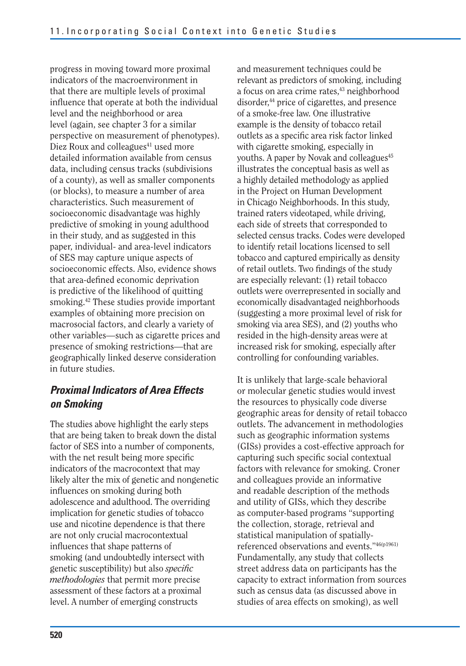progress in moving toward more proximal indicators of the macroenvironment in that there are multiple levels of proximal influence that operate at both the individual level and the neighborhood or area level (again, see chapter 3 for a similar perspective on measurement of phenotypes). Diez Roux and colleagues<sup>41</sup> used more detailed information available from census data, including census tracks (subdivisions of a county), as well as smaller components (or blocks), to measure a number of area characteristics. Such measurement of socioeconomic disadvantage was highly predictive of smoking in young adulthood in their study, and as suggested in this paper, individual- and area-level indicators of SES may capture unique aspects of socioeconomic effects. Also, evidence shows that area-defined economic deprivation is predictive of the likelihood of quitting smoking.42 These studies provide important examples of obtaining more precision on macrosocial factors, and clearly a variety of other variables—such as cigarette prices and presence of smoking restrictions—that are geographically linked deserve consideration in future studies.

#### *Proximal Indicators of Area Effects on Smoking*

The studies above highlight the early steps that are being taken to break down the distal factor of SES into a number of components, with the net result being more specific indicators of the macrocontext that may likely alter the mix of genetic and nongenetic influences on smoking during both adolescence and adulthood. The overriding implication for genetic studies of tobacco use and nicotine dependence is that there are not only crucial macrocontextual influences that shape patterns of smoking (and undoubtedly intersect with genetic susceptibility) but also *specifi c methodologies* that permit more precise assessment of these factors at a proximal level. A number of emerging constructs

and measurement techniques could be relevant as predictors of smoking, including a focus on area crime rates,<sup>43</sup> neighborhood disorder,<sup>44</sup> price of cigarettes, and presence of a smoke-free law. One illustrative example is the density of tobacco retail outlets as a specific area risk factor linked with cigarette smoking, especially in youths. A paper by Novak and colleagues<sup>45</sup> illustrates the conceptual basis as well as a highly detailed methodology as applied in the Project on Human Development in Chicago Neighborhoods. In this study, trained raters videotaped, while driving, each side of streets that corresponded to selected census tracks. Codes were developed to identify retail locations licensed to sell tobacco and captured empirically as density of retail outlets. Two findings of the study are especially relevant: (1) retail tobacco outlets were overrepresented in socially and economically disadvantaged neighborhoods (suggesting a more proximal level of risk for smoking via area SES), and (2) youths who resided in the high-density areas were at increased risk for smoking, especially after controlling for confounding variables.

It is unlikely that large-scale behavioral or molecular genetic studies would invest the resources to physically code diverse geographic areas for density of retail tobacco outlets. The advancement in methodologies such as geographic information systems (GISs) provides a cost-effective approach for capturing such specific social contextual factors with relevance for smoking. Croner and colleagues provide an informative and readable description of the methods and utility of GISs, which they describe as computer-based programs "supporting the collection, storage, retrieval and statistical manipulation of spatiallyreferenced observations and events."46(p1961) Fundamentally, any study that collects street address data on participants has the capacity to extract information from sources such as census data (as discussed above in studies of area effects on smoking), as well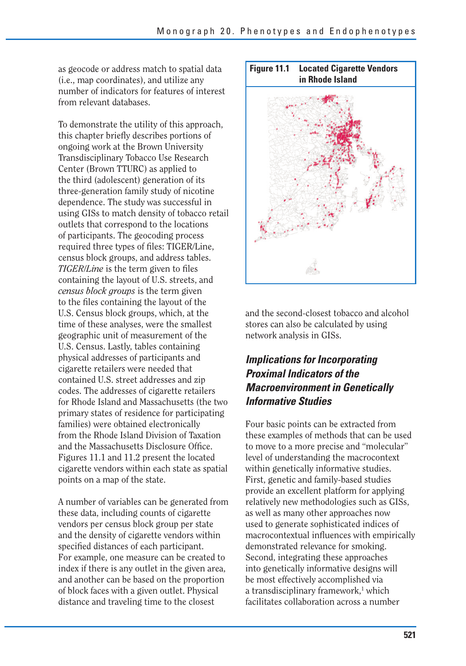as geocode or address match to spatial data (i.e., map coordinates), and utilize any number of indicators for features of interest from relevant databases.

To demonstrate the utility of this approach, this chapter briefly describes portions of ongoing work at the Brown University Transdisciplinary Tobacco Use Research Center (Brown TTURC) as applied to the third (adolescent) generation of its three-generation family study of nicotine dependence. The study was successful in using GISs to match density of tobacco retail outlets that correspond to the locations of participants. The geocoding process required three types of files: TIGER/Line, census block groups, and address tables. *TIGER/Line* is the term given to files containing the layout of U.S. streets, and *census block groups* is the term given to the files containing the layout of the U.S. Census block groups, which, at the time of these analyses, were the smallest geographic unit of measurement of the U.S. Census. Lastly, tables containing physical addresses of participants and cigarette retailers were needed that contained U.S. street addresses and zip codes. The addresses of cigarette retailers for Rhode Island and Massachusetts (the two primary states of residence for participating families) were obtained electronically from the Rhode Island Division of Taxation and the Massachusetts Disclosure Office. Figures 11.1 and 11.2 present the located cigarette vendors within each state as spatial points on a map of the state.

A number of variables can be generated from these data, including counts of cigarette vendors per census block group per state and the density of cigarette vendors within specified distances of each participant. For example, one measure can be created to index if there is any outlet in the given area, and another can be based on the proportion of block faces with a given outlet. Physical distance and traveling time to the closest



and the second-closest tobacco and alcohol stores can also be calculated by using network analysis in GISs.

#### *Implications for Incorporating Proximal Indicators of the Macroenvironment in Genetically Informative Studies*

Four basic points can be extracted from these examples of methods that can be used to move to a more precise and "molecular" level of understanding the macrocontext within genetically informative studies. First, genetic and family-based studies provide an excellent platform for applying relatively new methodologies such as GISs, as well as many other approaches now used to generate sophisticated indices of macrocontextual influences with empirically demonstrated relevance for smoking. Second, integrating these approaches into genetically informative designs will be most effectively accomplished via a transdisciplinary framework,<sup>1</sup> which facilitates collaboration across a number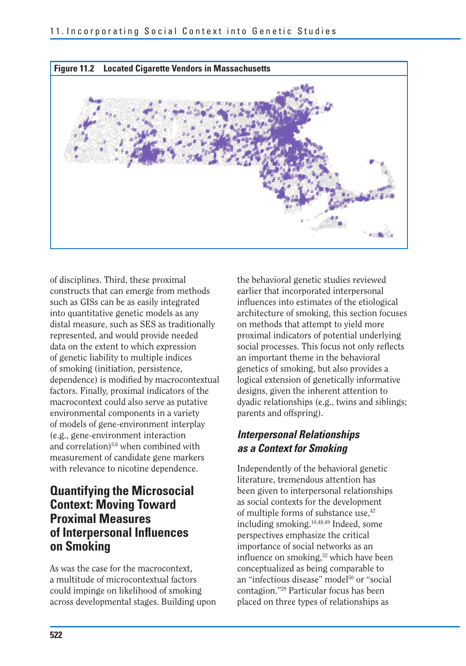

of disciplines. Third, these proximal constructs that can emerge from methods such as GISs can be as easily integrated into quantitative genetic models as any distal measure, such as SES as traditionally represented, and would provide needed data on the extent to which expression of genetic liability to multiple indices of smoking (initiation, persistence, dependence) is modified by macrocontextual factors. Finally, proximal indicators of the macrocontext could also serve as putative environmental components in a variety of models of gene-environment interplay (e.g., gene-environment interaction and correlation)<sup>5,6</sup> when combined with measurement of candidate gene markers with relevance to nicotine dependence.

#### **Quantifying the Microsocial Context: Moving Toward Proximal Measures of Interpersonal Influences on Smoking**

As was the case for the macrocontext, a multitude of microcontextual factors could impinge on likelihood of smoking across developmental stages. Building upon

the behavioral genetic studies reviewed earlier that incorporated interpersonal influences into estimates of the etiological architecture of smoking, this section focuses on methods that attempt to yield more proximal indicators of potential underlying social processes. This focus not only reflects an important theme in the behavioral genetics of smoking, but also provides a logical extension of genetically informative designs, given the inherent attention to dyadic relationships (e.g., twins and siblings; parents and offspring).

#### *Interpersonal Relationships as a Context for Smoking*

Independently of the behavioral genetic literature, tremendous attention has been given to interpersonal relationships as social contexts for the development of multiple forms of substance use.<sup>47</sup> including smoking.10,48,49 Indeed, some perspectives emphasize the critical importance of social networks as an influence on smoking,<sup>32</sup> which have been conceptualized as being comparable to an "infectious disease" model<sup>50</sup> or "social contagion."29 Particular focus has been placed on three types of relationships as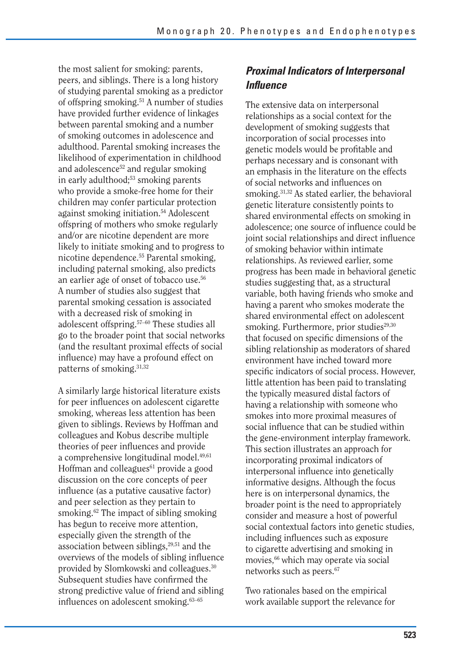the most salient for smoking: parents, peers, and siblings. There is a long history of studying parental smoking as a predictor of offspring smoking.51 A number of studies have provided further evidence of linkages between parental smoking and a number of smoking outcomes in adolescence and adulthood. Parental smoking increases the likelihood of experimentation in childhood and adolescence<sup>52</sup> and regular smoking in early adulthood;<sup>53</sup> smoking parents who provide a smoke-free home for their children may confer particular protection against smoking initiation.54 Adolescent offspring of mothers who smoke regularly and/or are nicotine dependent are more likely to initiate smoking and to progress to nicotine dependence.55 Parental smoking, including paternal smoking, also predicts an earlier age of onset of tobacco use.56 A number of studies also suggest that parental smoking cessation is associated with a decreased risk of smoking in adolescent offspring.57–60 These studies all go to the broader point that social networks (and the resultant proximal effects of social influence) may have a profound effect on patterns of smoking.<sup>31,32</sup>

A similarly large historical literature exists for peer influences on adolescent cigarette smoking, whereas less attention has been given to siblings. Reviews by Hoffman and colleagues and Kobus describe multiple theories of peer influences and provide a comprehensive longitudinal model.49,61 Hoffman and colleagues<sup>61</sup> provide a good discussion on the core concepts of peer influence (as a putative causative factor) and peer selection as they pertain to smoking.<sup>62</sup> The impact of sibling smoking has begun to receive more attention, especially given the strength of the association between siblings, $29,51$  and the overviews of the models of sibling influence provided by Slomkowski and colleagues.30 Subsequent studies have confirmed the strong predictive value of friend and sibling influences on adolescent smoking.63–65

#### *Proximal Indicators of Interpersonal Infl uence*

The extensive data on interpersonal relationships as a social context for the development of smoking suggests that incorporation of social processes into genetic models would be profitable and perhaps necessary and is consonant with an emphasis in the literature on the effects of social networks and influences on smoking.31,32 As stated earlier, the behavioral genetic literature consistently points to shared environmental effects on smoking in adolescence; one source of influence could be joint social relationships and direct influence of smoking behavior within intimate relationships. As reviewed earlier, some progress has been made in behavioral genetic studies suggesting that, as a structural variable, both having friends who smoke and having a parent who smokes moderate the shared environmental effect on adolescent smoking. Furthermore, prior studies<sup>29,30</sup> that focused on specific dimensions of the sibling relationship as moderators of shared environment have inched toward more specific indicators of social process. However, little attention has been paid to translating the typically measured distal factors of having a relationship with someone who smokes into more proximal measures of social influence that can be studied within the gene-environment interplay framework. This section illustrates an approach for incorporating proximal indicators of interpersonal influence into genetically informative designs. Although the focus here is on interpersonal dynamics, the broader point is the need to appropriately consider and measure a host of powerful social contextual factors into genetic studies, including influences such as exposure to cigarette advertising and smoking in movies,<sup>66</sup> which may operate via social networks such as peers.<sup>67</sup>

Two rationales based on the empirical work available support the relevance for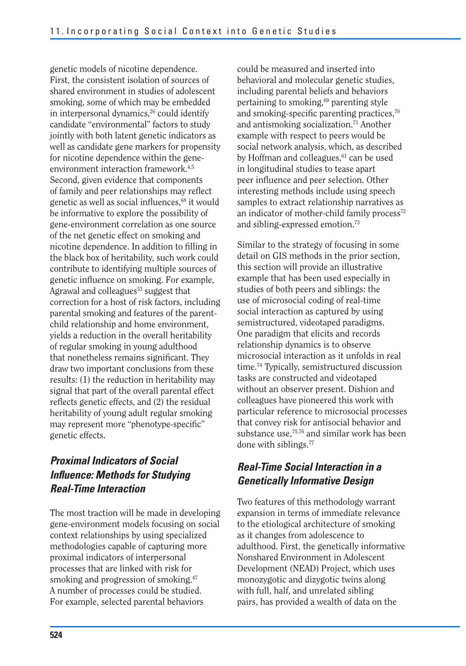genetic models of nicotine dependence. First, the consistent isolation of sources of shared environment in studies of adolescent smoking, some of which may be embedded in interpersonal dynamics,<sup>26</sup> could identify candidate "environmental" factors to study jointly with both latent genetic indicators as well as candidate gene markers for propensity for nicotine dependence within the geneenvironment interaction framework.<sup>4,5</sup> Second, given evidence that components of family and peer relationships may reflect genetic as well as social influences, $68$  it would be informative to explore the possibility of gene-environment correlation as one source of the net genetic effect on smoking and nicotine dependence. In addition to filling in the black box of heritability, such work could contribute to identifying multiple sources of genetic influence on smoking. For example, Agrawal and colleagues<sup>53</sup> suggest that correction for a host of risk factors, including parental smoking and features of the parentchild relationship and home environment, yields a reduction in the overall heritability of regular smoking in young adulthood that nonetheless remains significant. They draw two important conclusions from these results: (1) the reduction in heritability may signal that part of the overall parental effect reflects genetic effects, and (2) the residual heritability of young adult regular smoking may represent more "phenotype-specific" genetic effects.

#### *Proximal Indicators of Social Influence: Methods for Studying Real-Time Interaction*

The most traction will be made in developing gene-environment models focusing on social context relationships by using specialized methodologies capable of capturing more proximal indicators of interpersonal processes that are linked with risk for smoking and progression of smoking.<sup>47</sup> A number of processes could be studied. For example, selected parental behaviors

could be measured and inserted into behavioral and molecular genetic studies, including parental beliefs and behaviors pertaining to smoking,<sup>69</sup> parenting style and smoking-specific parenting practices,<sup>70</sup> and antismoking socialization.71 Another example with respect to peers would be social network analysis, which, as described by Hoffman and colleagues,<sup>61</sup> can be used in longitudinal studies to tease apart peer influence and peer selection. Other interesting methods include using speech samples to extract relationship narratives as an indicator of mother-child family process $72$ and sibling-expressed emotion.73

Similar to the strategy of focusing in some detail on GIS methods in the prior section, this section will provide an illustrative example that has been used especially in studies of both peers and siblings: the use of microsocial coding of real-time social interaction as captured by using semistructured, videotaped paradigms. One paradigm that elicits and records relationship dynamics is to observe microsocial interaction as it unfolds in real time.74 Typically, semistructured discussion tasks are constructed and videotaped without an observer present. Dishion and colleagues have pioneered this work with particular reference to microsocial processes that convey risk for antisocial behavior and substance use,<sup>75,76</sup> and similar work has been done with siblings.77

#### *Real-Time Social Interaction in a Genetically Informative Design*

Two features of this methodology warrant expansion in terms of immediate relevance to the etiological architecture of smoking as it changes from adolescence to adulthood. First, the genetically informative Nonshared Environment in Adolescent Development (NEAD) Project, which uses monozygotic and dizygotic twins along with full, half, and unrelated sibling pairs, has provided a wealth of data on the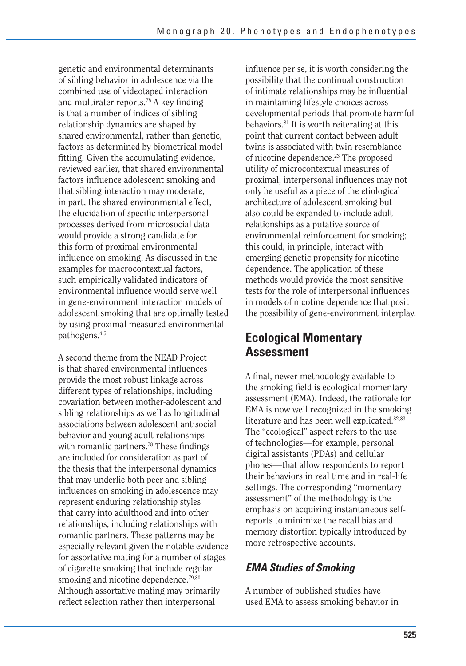genetic and environmental determinants of sibling behavior in adolescence via the combined use of videotaped interaction and multirater reports.<sup>78</sup> A key finding is that a number of indices of sibling relationship dynamics are shaped by shared environmental, rather than genetic, factors as determined by biometrical model fitting. Given the accumulating evidence, reviewed earlier, that shared environmental factors influence adolescent smoking and that sibling interaction may moderate, in part, the shared environmental effect, the elucidation of specific interpersonal processes derived from microsocial data would provide a strong candidate for this form of proximal environmental influence on smoking. As discussed in the examples for macrocontextual factors, such empirically validated indicators of environmental influence would serve well in gene-environment interaction models of adolescent smoking that are optimally tested by using proximal measured environmental pathogens.4,5

A second theme from the NEAD Project is that shared environmental influences provide the most robust linkage across different types of relationships, including covariation between mother-adolescent and sibling relationships as well as longitudinal associations between adolescent antisocial behavior and young adult relationships with romantic partners.<sup>78</sup> These findings are included for consideration as part of the thesis that the interpersonal dynamics that may underlie both peer and sibling influences on smoking in adolescence may represent enduring relationship styles that carry into adulthood and into other relationships, including relationships with romantic partners. These patterns may be especially relevant given the notable evidence for assortative mating for a number of stages of cigarette smoking that include regular smoking and nicotine dependence.<sup> $79,80$ </sup> Although assortative mating may primarily reflect selection rather then interpersonal

influence per se, it is worth considering the possibility that the continual construction of intimate relationships may be influential in maintaining lifestyle choices across developmental periods that promote harmful behaviors.<sup>81</sup> It is worth reiterating at this point that current contact between adult twins is associated with twin resemblance of nicotine dependence.23 The proposed utility of microcontextual measures of proximal, interpersonal influences may not only be useful as a piece of the etiological architecture of adolescent smoking but also could be expanded to include adult relationships as a putative source of environmental reinforcement for smoking; this could, in principle, interact with emerging genetic propensity for nicotine dependence. The application of these methods would provide the most sensitive tests for the role of interpersonal influences in models of nicotine dependence that posit the possibility of gene-environment interplay.

### **Ecological Momentary Assessment**

A final, newer methodology available to the smoking field is ecological momentary assessment (EMA). Indeed, the rationale for EMA is now well recognized in the smoking literature and has been well explicated.<sup>82,83</sup> The "ecological" aspect refers to the use of technologies—for example, personal digital assistants (PDAs) and cellular phones—that allow respondents to report their behaviors in real time and in real-life settings. The corresponding "momentary assessment" of the methodology is the emphasis on acquiring instantaneous selfreports to minimize the recall bias and memory distortion typically introduced by more retrospective accounts.

#### *EMA Studies of Smoking*

A number of published studies have used EMA to assess smoking behavior in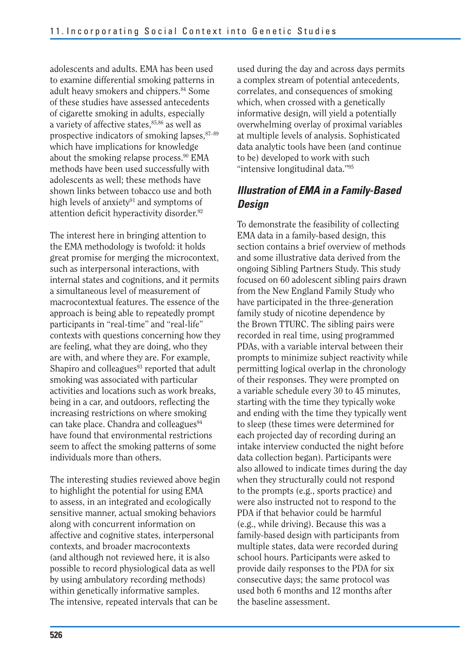adolescents and adults. EMA has been used to examine differential smoking patterns in adult heavy smokers and chippers.84 Some of these studies have assessed antecedents of cigarette smoking in adults, especially a variety of affective states,<sup>85,86</sup> as well as prospective indicators of smoking lapses, 87-89 which have implications for knowledge about the smoking relapse process.90 EMA methods have been used successfully with adolescents as well; these methods have shown links between tobacco use and both high levels of anxiety<sup>91</sup> and symptoms of attention deficit hyperactivity disorder.<sup>92</sup>

The interest here in bringing attention to the EMA methodology is twofold: it holds great promise for merging the microcontext, such as interpersonal interactions, with internal states and cognitions, and it permits a simultaneous level of measurement of macrocontextual features. The essence of the approach is being able to repeatedly prompt participants in "real-time" and "real-life" contexts with questions concerning how they are feeling, what they are doing, who they are with, and where they are. For example, Shapiro and colleagues $93$  reported that adult smoking was associated with particular activities and locations such as work breaks, being in a car, and outdoors, reflecting the increasing restrictions on where smoking can take place. Chandra and colleagues<sup>94</sup> have found that environmental restrictions seem to affect the smoking patterns of some individuals more than others.

The interesting studies reviewed above begin to highlight the potential for using EMA to assess, in an integrated and ecologically sensitive manner, actual smoking behaviors along with concurrent information on affective and cognitive states, interpersonal contexts, and broader macrocontexts (and although not reviewed here, it is also possible to record physiological data as well by using ambulatory recording methods) within genetically informative samples. The intensive, repeated intervals that can be

used during the day and across days permits a complex stream of potential antecedents, correlates, and consequences of smoking which, when crossed with a genetically informative design, will yield a potentially overwhelming overlay of proximal variables at multiple levels of analysis. Sophisticated data analytic tools have been (and continue to be) developed to work with such "intensive longitudinal data."95

#### *Illustration of EMA in a Family-Based Design*

To demonstrate the feasibility of collecting EMA data in a family-based design, this section contains a brief overview of methods and some illustrative data derived from the ongoing Sibling Partners Study. This study focused on 60 adolescent sibling pairs drawn from the New England Family Study who have participated in the three-generation family study of nicotine dependence by the Brown TTURC. The sibling pairs were recorded in real time, using programmed PDAs, with a variable interval between their prompts to minimize subject reactivity while permitting logical overlap in the chronology of their responses. They were prompted on a variable schedule every 30 to 45 minutes, starting with the time they typically woke and ending with the time they typically went to sleep (these times were determined for each projected day of recording during an intake interview conducted the night before data collection began). Participants were also allowed to indicate times during the day when they structurally could not respond to the prompts (e.g., sports practice) and were also instructed not to respond to the PDA if that behavior could be harmful (e.g., while driving). Because this was a family-based design with participants from multiple states, data were recorded during school hours. Participants were asked to provide daily responses to the PDA for six consecutive days; the same protocol was used both 6 months and 12 months after the baseline assessment.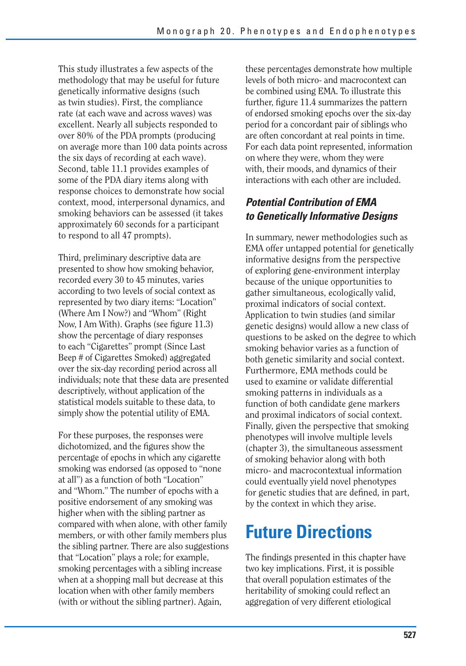This study illustrates a few aspects of the methodology that may be useful for future genetically informative designs (such as twin studies). First, the compliance rate (at each wave and across waves) was excellent. Nearly all subjects responded to over 80% of the PDA prompts (producing on average more than 100 data points across the six days of recording at each wave). Second, table 11.1 provides examples of some of the PDA diary items along with response choices to demonstrate how social context, mood, interpersonal dynamics, and smoking behaviors can be assessed (it takes approximately 60 seconds for a participant to respond to all 47 prompts).

Third, preliminary descriptive data are presented to show how smoking behavior, recorded every 30 to 45 minutes, varies according to two levels of social context as represented by two diary items: "Location" (Where Am I Now?) and "Whom" (Right Now, I Am With). Graphs (see figure 11.3) show the percentage of diary responses to each "Cigarettes" prompt (Since Last Beep # of Cigarettes Smoked) aggregated over the six-day recording period across all individuals; note that these data are presented descriptively, without application of the statistical models suitable to these data, to simply show the potential utility of EMA.

For these purposes, the responses were dichotomized, and the figures show the percentage of epochs in which any cigarette smoking was endorsed (as opposed to "none at all") as a function of both "Location" and "Whom." The number of epochs with a positive endorsement of any smoking was higher when with the sibling partner as compared with when alone, with other family members, or with other family members plus the sibling partner. There are also suggestions that "Location" plays a role; for example, smoking percentages with a sibling increase when at a shopping mall but decrease at this location when with other family members (with or without the sibling partner). Again,

these percentages demonstrate how multiple levels of both micro- and macrocontext can be combined using EMA. To illustrate this further, figure 11.4 summarizes the pattern of endorsed smoking epochs over the six-day period for a concordant pair of siblings who are often concordant at real points in time. For each data point represented, information on where they were, whom they were with, their moods, and dynamics of their interactions with each other are included.

#### *Potential Contribution of EMA to Genetically Informative Designs*

In summary, newer methodologies such as EMA offer untapped potential for genetically informative designs from the perspective of exploring gene-environment interplay because of the unique opportunities to gather simultaneous, ecologically valid, proximal indicators of social context. Application to twin studies (and similar genetic designs) would allow a new class of questions to be asked on the degree to which smoking behavior varies as a function of both genetic similarity and social context. Furthermore, EMA methods could be used to examine or validate differential smoking patterns in individuals as a function of both candidate gene markers and proximal indicators of social context. Finally, given the perspective that smoking phenotypes will involve multiple levels (chapter 3), the simultaneous assessment of smoking behavior along with both micro- and macrocontextual information could eventually yield novel phenotypes for genetic studies that are defined, in part, by the context in which they arise.

# **Future Directions**

The findings presented in this chapter have two key implications. First, it is possible that overall population estimates of the heritability of smoking could reflect an aggregation of very different etiological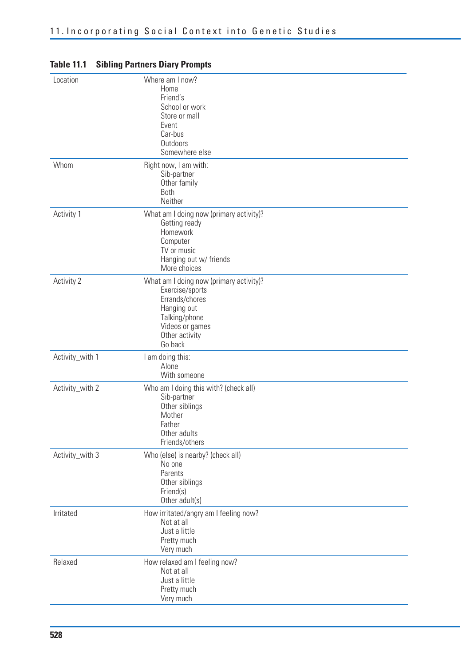| Location        | Where am I now?<br>Home<br>Friend's<br>School or work<br>Store or mall<br>Event<br>Car-bus<br>Outdoors<br>Somewhere else                                     |
|-----------------|--------------------------------------------------------------------------------------------------------------------------------------------------------------|
| Whom            | Right now, I am with:<br>Sib-partner<br>Other family<br><b>Both</b><br>Neither                                                                               |
| Activity 1      | What am I doing now (primary activity)?<br>Getting ready<br>Homework<br>Computer<br>TV or music<br>Hanging out w/ friends<br>More choices                    |
| Activity 2      | What am I doing now (primary activity)?<br>Exercise/sports<br>Errands/chores<br>Hanging out<br>Talking/phone<br>Videos or games<br>Other activity<br>Go back |
| Activity_with 1 | I am doing this:<br>Alone<br>With someone                                                                                                                    |
| Activity_with 2 | Who am I doing this with? (check all)<br>Sib-partner<br>Other siblings<br>Mother<br>Father<br>Other adults<br>Friends/others                                 |
| Activity_with 3 | Who (else) is nearby? (check all)<br>No one<br>Parents<br>Other siblings<br>Friend(s)<br>Other adult(s)                                                      |
| Irritated       | How irritated/angry am I feeling now?<br>Not at all<br>Just a little<br>Pretty much<br>Very much                                                             |
| Relaxed         | How relaxed am I feeling now?<br>Not at all<br>Just a little<br>Pretty much<br>Very much                                                                     |

#### **Table 11.1 Sibling Partners Diary Prompts**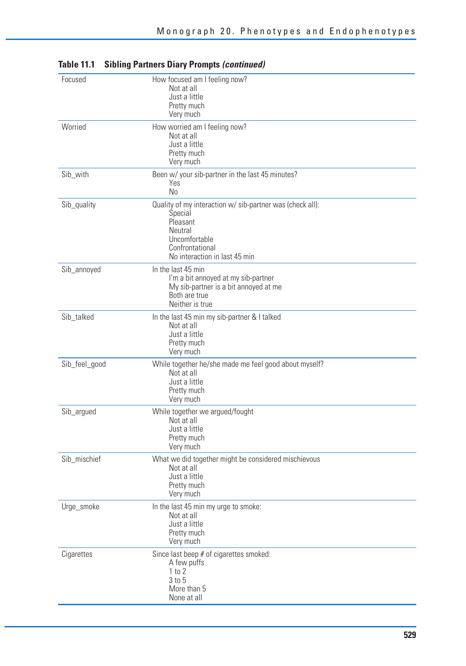| Focused       | How focused am I feeling now?<br>Not at all<br>Just a little<br>Pretty much<br>Very much                                                                         |
|---------------|------------------------------------------------------------------------------------------------------------------------------------------------------------------|
| Worried       | How worried am I feeling now?<br>Not at all<br>Just a little<br>Pretty much<br>Very much                                                                         |
| Sib_with      | Been w/ your sib-partner in the last 45 minutes?<br>Yes<br>N <sub>0</sub>                                                                                        |
| Sib_quality   | Quality of my interaction w/ sib-partner was (check all):<br>Special<br>Pleasant<br>Neutral<br>Uncomfortable<br>Confrontational<br>No interaction in last 45 min |
| Sib_annoyed   | In the last 45 min<br>I'm a bit annoyed at my sib-partner<br>My sib-partner is a bit annoyed at me<br>Both are true<br>Neither is true                           |
| Sib talked    | In the last 45 min my sib-partner & I talked<br>Not at all<br>Just a little<br>Pretty much<br>Very much                                                          |
| Sib_feel_good | While together he/she made me feel good about myself?<br>Not at all<br>Just a little<br>Pretty much<br>Very much                                                 |
| Sib_argued    | While together we argued/fought<br>Not at all<br>Just a little<br>Pretty much<br>Very much                                                                       |
| Sib_mischief  | What we did together might be considered mischievous<br>Not at all<br>Just a little<br>Pretty much<br>Very much                                                  |
| Urge_smoke    | In the last 45 min my urge to smoke:<br>Not at all<br>Just a little<br>Pretty much<br>Very much                                                                  |
| Cigarettes    | Since last beep # of cigarettes smoked:<br>A few puffs<br>1 to 2<br>$3$ to $5$<br>More than 5<br>None at all                                                     |

#### **Table 11.1 Sibling Partners Diary Prompts** *(continued)*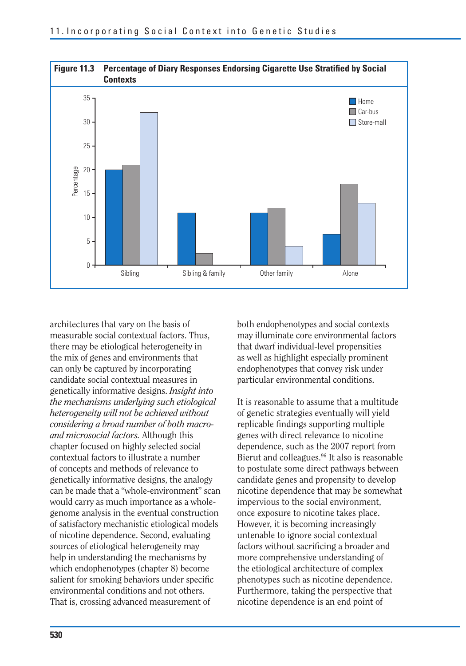

architectures that vary on the basis of measurable social contextual factors. Thus, there may be etiological heterogeneity in the mix of genes and environments that can only be captured by incorporating candidate social contextual measures in genetically informative designs. *Insight into the mechanisms underlying such etiological heterogeneity will not be achieved without considering a broad number of both macroand microsocial factors.* Although this chapter focused on highly selected social contextual factors to illustrate a number of concepts and methods of relevance to genetically informative designs, the analogy can be made that a "whole-environment" scan would carry as much importance as a wholegenome analysis in the eventual construction of satisfactory mechanistic etiological models of nicotine dependence. Second, evaluating sources of etiological heterogeneity may help in understanding the mechanisms by which endophenotypes (chapter 8) become salient for smoking behaviors under specific environmental conditions and not others. That is, crossing advanced measurement of

both endophenotypes and social contexts may illuminate core environmental factors that dwarf individual-level propensities as well as highlight especially prominent endophenotypes that convey risk under particular environmental conditions.

It is reasonable to assume that a multitude of genetic strategies eventually will yield replicable findings supporting multiple genes with direct relevance to nicotine dependence, such as the 2007 report from Bierut and colleagues.<sup>96</sup> It also is reasonable to postulate some direct pathways between candidate genes and propensity to develop nicotine dependence that may be somewhat impervious to the social environment, once exposure to nicotine takes place. However, it is becoming increasingly untenable to ignore social contextual factors without sacrificing a broader and more comprehensive understanding of the etiological architecture of complex phenotypes such as nicotine dependence. Furthermore, taking the perspective that nicotine dependence is an end point of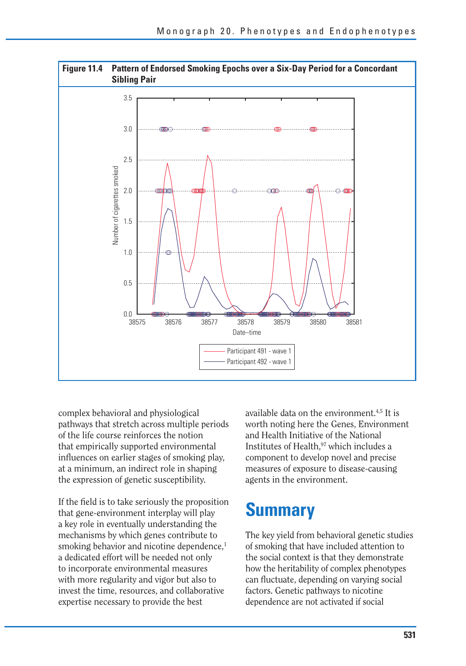

complex behavioral and physiological pathways that stretch across multiple periods of the life course reinforces the notion that empirically supported environmental influences on earlier stages of smoking play, at a minimum, an indirect role in shaping the expression of genetic susceptibility.

If the field is to take seriously the proposition that gene-environment interplay will play a key role in eventually understanding the mechanisms by which genes contribute to smoking behavior and nicotine dependence,<sup>1</sup> a dedicated effort will be needed not only to incorporate environmental measures with more regularity and vigor but also to invest the time, resources, and collaborative expertise necessary to provide the best

available data on the environment.<sup>4,5</sup> It is worth noting here the Genes, Environment and Health Initiative of the National Institutes of Health.<sup>97</sup> which includes a component to develop novel and precise measures of exposure to disease-causing agents in the environment.

### **Summary**

The key yield from behavioral genetic studies of smoking that have included attention to the social context is that they demonstrate how the heritability of complex phenotypes can fluctuate, depending on varying social factors. Genetic pathways to nicotine dependence are not activated if social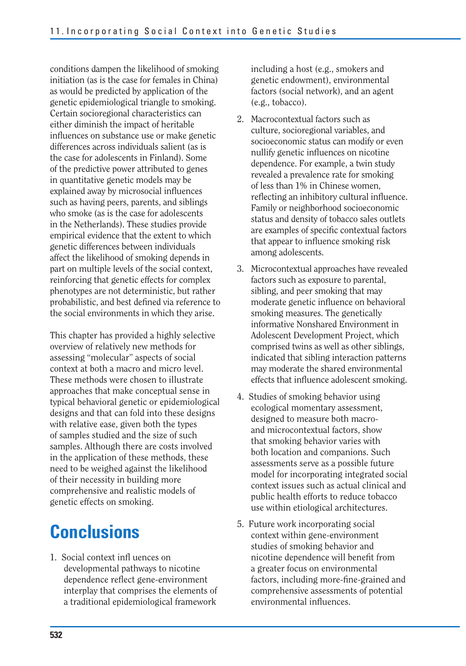conditions dampen the likelihood of smoking initiation (as is the case for females in China) as would be predicted by application of the genetic epidemiological triangle to smoking. Certain socioregional characteristics can either diminish the impact of heritable influences on substance use or make genetic differences across individuals salient (as is the case for adolescents in Finland). Some of the predictive power attributed to genes in quantitative genetic models may be explained away by microsocial influences such as having peers, parents, and siblings who smoke (as is the case for adolescents in the Netherlands). These studies provide empirical evidence that the extent to which genetic differences between individuals affect the likelihood of smoking depends in part on multiple levels of the social context, reinforcing that genetic effects for complex phenotypes are not deterministic, but rather probabilistic, and best defined via reference to the social environments in which they arise.

This chapter has provided a highly selective overview of relatively new methods for assessing "molecular" aspects of social context at both a macro and micro level. These methods were chosen to illustrate approaches that make conceptual sense in typical behavioral genetic or epidemiological designs and that can fold into these designs with relative ease, given both the types of samples studied and the size of such samples. Although there are costs involved in the application of these methods, these need to be weighed against the likelihood of their necessity in building more comprehensive and realistic models of genetic effects on smoking.

# **Conclusions**

1. Social context infl uences on developmental pathways to nicotine dependence reflect gene-environment interplay that comprises the elements of a traditional epidemiological framework

including a host (e.g., smokers and genetic endowment), environmental factors (social network), and an agent (e.g., tobacco).

- 2. Macrocontextual factors such as culture, socioregional variables, and socioeconomic status can modify or even nullify genetic influences on nicotine dependence. For example, a twin study revealed a prevalence rate for smoking of less than 1% in Chinese women, reflecting an inhibitory cultural influence. Family or neighborhood socioeconomic status and density of tobacco sales outlets are examples of specific contextual factors that appear to influence smoking risk among adolescents.
- 3. Microcontextual approaches have revealed factors such as exposure to parental, sibling, and peer smoking that may moderate genetic influence on behavioral smoking measures. The genetically informative Nonshared Environment in Adolescent Development Project, which comprised twins as well as other siblings, indicated that sibling interaction patterns may moderate the shared environmental effects that influence adolescent smoking.
- 4. Studies of smoking behavior using ecological momentary assessment, designed to measure both macroand microcontextual factors, show that smoking behavior varies with both location and companions. Such assessments serve as a possible future model for incorporating integrated social context issues such as actual clinical and public health efforts to reduce tobacco use within etiological architectures.
- 5. Future work incorporating social context within gene-environment studies of smoking behavior and nicotine dependence will benefit from a greater focus on environmental factors, including more-fine-grained and comprehensive assessments of potential environmental influences.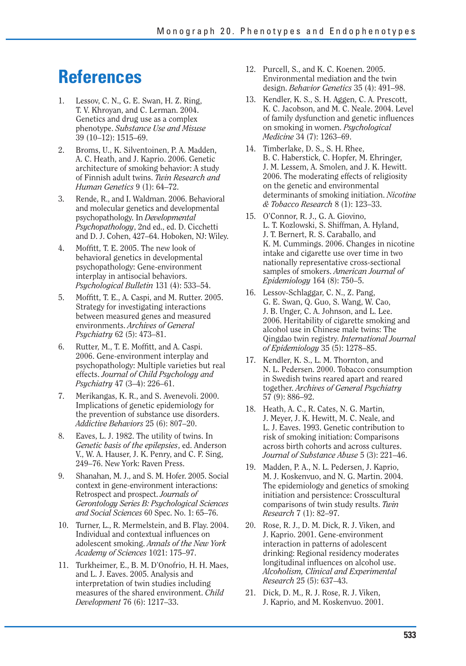### **References**

- 1. Lessov, C. N., G. E. Swan, H. Z. Ring, T. V. Khroyan, and C. Lerman. 2004. Genetics and drug use as a complex phenotype. *Substance Use and Misuse*  39 (10–12): 1515–69.
- 2. Broms, U., K. Silventoinen, P. A. Madden, A. C. Heath, and J. Kaprio. 2006. Genetic architecture of smoking behavior: A study of Finnish adult twins. *Twin Research and Human Genetics* 9 (1): 64–72.
- 3. Rende, R., and I. Waldman. 2006. Behavioral and molecular genetics and developmental psychopathology. In *Developmental Psychopathology*, 2nd ed., ed. D. Cicchetti and D. J. Cohen, 427–64. Hoboken, NJ: Wiley.
- 4. Moffitt, T. E. 2005. The new look of behavioral genetics in developmental psychopathology: Gene-environment interplay in antisocial behaviors. *Psychological Bulletin* 131 (4): 533–54.
- 5. Moffitt, T. E., A. Caspi, and M. Rutter. 2005. Strategy for investigating interactions between measured genes and measured environments. *Archives of General Psychiatry* 62 (5): 473–81.
- 6. Rutter, M., T. E. Moffitt, and A. Caspi. 2006. Gene-environment interplay and psychopathology: Multiple varieties but real effects. *Journal of Child Psychology and Psychiatry* 47 (3–4): 226–61.
- 7. Merikangas, K. R., and S. Avenevoli. 2000. Implications of genetic epidemiology for the prevention of substance use disorders. *Addictive Behaviors* 25 (6): 807–20.
- 8. Eaves, L. J. 1982. The utility of twins. In *Genetic basis of the epilepsies*, ed. Anderson V., W. A. Hauser, J. K. Penry, and C. F. Sing, 249–76. New York: Raven Press.
- 9. Shanahan, M. J., and S. M. Hofer. 2005. Social context in gene-environment interactions: Retrospect and prospect. *Journals of Gerontology Series B: Psychological Sciences and Social Sciences* 60 Spec. No. 1: 65–76.
- 10. Turner, L., R. Mermelstein, and B. Flay. 2004. Individual and contextual influences on adolescent smoking. *Annals of the New York Academy of Sciences* 1021: 175–97.
- 11. Turkheimer, E., B. M. D'Onofrio, H. H. Maes, and L. J. Eaves. 2005. Analysis and interpretation of twin studies including measures of the shared environment. *Child Development* 76 (6): 1217–33.
- 12. Purcell, S., and K. C. Koenen. 2005. Environmental mediation and the twin design. *Behavior Genetics* 35 (4): 491–98.
- 13. Kendler, K. S., S. H. Aggen, C. A. Prescott, K. C. Jacobson, and M. C. Neale. 2004. Level of family dysfunction and genetic influences on smoking in women. *Psychological Medicine* 34 (7): 1263–69.
- 14. Timberlake, D. S., S. H. Rhee, B. C. Haberstick, C. Hopfer, M. Ehringer, J. M. Lessem, A. Smolen, and J. K. Hewitt. 2006. The moderating effects of religiosity on the genetic and environmental determinants of smoking initiation. *Nicotine & Tobacco Research* 8 (1): 123–33.
- 15. O'Connor, R. J., G. A. Giovino, L. T. Kozlowski, S. Shiffman, A. Hyland, J. T. Bernert, R. S. Caraballo, and K. M. Cummings. 2006. Changes in nicotine intake and cigarette use over time in two nationally representative cross-sectional samples of smokers. *American Journal of Epidemiology* 164 (8): 750–5.
- 16. Lessov-Schlaggar, C. N., Z. Pang, G. E. Swan, Q. Guo, S. Wang, W. Cao, J. B. Unger, C. A. Johnson, and L. Lee. 2006. Heritability of cigarette smoking and alcohol use in Chinese male twins: The Qingdao twin registry. *International Journal of Epidemiology* 35 (5): 1278–85.
- 17. Kendler, K. S., L. M. Thornton, and N. L. Pedersen. 2000. Tobacco consumption in Swedish twins reared apart and reared together. *Archives of General Psychiatry*  57 (9): 886–92.
- 18. Heath, A. C., R. Cates, N. G. Martin, J. Meyer, J. K. Hewitt, M. C. Neale, and L. J. Eaves. 1993. Genetic contribution to risk of smoking initiation: Comparisons across birth cohorts and across cultures. *Journal of Substance Abuse* 5 (3): 221–46.
- 19. Madden, P. A., N. L. Pedersen, J. Kaprio, M. J. Koskenvuo, and N. G. Martin. 2004. The epidemiology and genetics of smoking initiation and persistence: Crosscultural comparisons of twin study results. *Twin Research* 7 (1): 82–97.
- 20. Rose, R. J., D. M. Dick, R. J. Viken, and J. Kaprio. 2001. Gene-environment interaction in patterns of adolescent drinking: Regional residency moderates longitudinal influences on alcohol use. *Alcoholism, Clinical and Experimental Research* 25 (5): 637–43.
- 21. Dick, D. M., R. J. Rose, R. J. Viken, J. Kaprio, and M. Koskenvuo. 2001.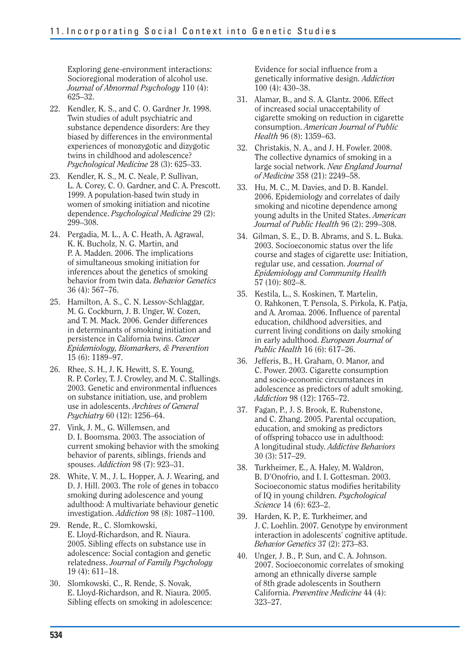Exploring gene-environment interactions: Socioregional moderation of alcohol use. *Journal of Abnormal Psychology* 110 (4): 625–32.

- 22. Kendler, K. S., and C. O. Gardner Jr. 1998. Twin studies of adult psychiatric and substance dependence disorders: Are they biased by differences in the environmental experiences of monozygotic and dizygotic twins in childhood and adolescence? *Psychological Medicine* 28 (3): 625–33.
- 23. Kendler, K. S., M. C. Neale, P. Sullivan, L. A. Corey, C. O. Gardner, and C. A. Prescott. 1999. A population-based twin study in women of smoking initiation and nicotine dependence. *Psychological Medicine* 29 (2): 299–308.
- 24. Pergadia, M. L., A. C. Heath, A. Agrawal, K. K. Bucholz, N. G. Martin, and P. A. Madden. 2006. The implications of simultaneous smoking initiation for inferences about the genetics of smoking behavior from twin data. *Behavior Genetics*  36 (4): 567–76.
- 25. Hamilton, A. S., C. N. Lessov-Schlaggar, M. G. Cockburn, J. B. Unger, W. Cozen, and T. M. Mack. 2006. Gender differences in determinants of smoking initiation and persistence in California twins. *Cancer Epidemiology, Biomarkers, & Prevention*  15 (6): 1189–97.
- 26. Rhee, S. H., J. K. Hewitt, S. E. Young, R. P. Corley, T. J. Crowley, and M. C. Stallings. 2003. Genetic and environmental influences on substance initiation, use, and problem use in adolescents. *Archives of General Psychiatry* 60 (12): 1256–64.
- 27. Vink, J. M., G. Willemsen, and D. I. Boomsma. 2003. The association of current smoking behavior with the smoking behavior of parents, siblings, friends and spouses. *Addiction* 98 (7): 923–31.
- 28. White, V. M., J. L. Hopper, A. J. Wearing, and D. J. Hill. 2003. The role of genes in tobacco smoking during adolescence and young adulthood: A multivariate behaviour genetic investigation. *Addiction* 98 (8): 1087–1100.
- 29. Rende, R., C. Slomkowski, E. Lloyd-Richardson, and R. Niaura. 2005. Sibling effects on substance use in adolescence: Social contagion and genetic relatedness. *Journal of Family Psychology*  19 (4): 611–18.
- 30. Slomkowski, C., R. Rende, S. Novak, E. Lloyd-Richardson, and R. Niaura. 2005. Sibling effects on smoking in adolescence:

Evidence for social influence from a genetically informative design. *Addiction*  100 (4): 430–38.

- 31. Alamar, B., and S. A. Glantz. 2006. Effect of increased social unacceptability of cigarette smoking on reduction in cigarette consumption. *American Journal of Public Health* 96 (8): 1359–63.
- 32. Christakis, N. A., and J. H. Fowler. 2008. The collective dynamics of smoking in a large social network. *New England Journal of Medicine* 358 (21): 2249–58.
- 33. Hu, M. C., M. Davies, and D. B. Kandel. 2006. Epidemiology and correlates of daily smoking and nicotine dependence among young adults in the United States. *American Journal of Public Health* 96 (2): 299–308.
- 34. Gilman, S. E., D. B. Abrams, and S. L. Buka. 2003. Socioeconomic status over the life course and stages of cigarette use: Initiation, regular use, and cessation. *Journal of Epidemiology and Community Health*  57 (10): 802–8.
- 35. Kestila, L., S. Koskinen, T. Martelin, O. Rahkonen, T. Pensola, S. Pirkola, K. Patja, and A. Aromaa. 2006. Influence of parental education, childhood adversities, and current living conditions on daily smoking in early adulthood. *European Journal of Public Health* 16 (6): 617–26.
- 36. Jefferis, B., H. Graham, O. Manor, and C. Power. 2003. Cigarette consumption and socio-economic circumstances in adolescence as predictors of adult smoking. *Addiction* 98 (12): 1765–72.
- 37. Fagan, P., J. S. Brook, E. Rubenstone, and C. Zhang. 2005. Parental occupation, education, and smoking as predictors of offspring tobacco use in adulthood: A longitudinal study. *Addictive Behaviors*  30 (3): 517–29.
- 38. Turkheimer, E., A. Haley, M. Waldron, B. D'Onofrio, and I. I. Gottesman. 2003. Socioeconomic status modifies heritability of IQ in young children. *Psychological Science* 14 (6): 623–2.
- 39. Harden, K. P., E. Turkheimer, and J. C. Loehlin. 2007. Genotype by environment interaction in adolescents' cognitive aptitude. *Behavior Genetics* 37 (2): 273–83.
- 40. Unger, J. B., P. Sun, and C. A. Johnson. 2007. Socioeconomic correlates of smoking among an ethnically diverse sample of 8th grade adolescents in Southern California. *Preventive Medicine* 44 (4): 323–27.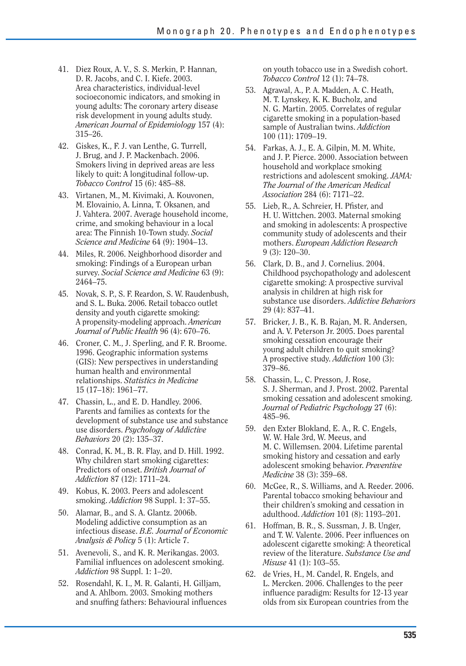- 41. Diez Roux, A. V., S. S. Merkin, P. Hannan, D. R. Jacobs, and C. I. Kiefe. 2003. Area characteristics, individual-level socioeconomic indicators, and smoking in young adults: The coronary artery disease risk development in young adults study. *American Journal of Epidemiology* 157 (4): 315–26.
- 42. Giskes, K., F. J. van Lenthe, G. Turrell, J. Brug, and J. P. Mackenbach. 2006. Smokers living in deprived areas are less likely to quit: A longitudinal follow-up. *Tobacco Control* 15 (6): 485–88.
- 43. Virtanen, M., M. Kivimaki, A. Kouvonen, M. Elovainio, A. Linna, T. Oksanen, and J. Vahtera. 2007. Average household income, crime, and smoking behaviour in a local area: The Finnish 10-Town study. *Social Science and Medicine* 64 (9): 1904–13.
- 44. Miles, R. 2006. Neighborhood disorder and smoking: Findings of a European urban survey. *Social Science and Medicine* 63 (9): 2464–75.
- 45. Novak, S. P., S. F. Reardon, S. W. Raudenbush, and S. L. Buka. 2006. Retail tobacco outlet density and youth cigarette smoking: A propensity-modeling approach. *American Journal of Public Health* 96 (4): 670–76.
- 46. Croner, C. M., J. Sperling, and F. R. Broome. 1996. Geographic information systems (GIS): New perspectives in understanding human health and environmental relationships. *Statistics in Medicine*  15 (17–18): 1961–77.
- 47. Chassin, L., and E. D. Handley. 2006. Parents and families as contexts for the development of substance use and substance use disorders. *Psychology of Addictive Behaviors* 20 (2): 135–37.
- 48. Conrad, K. M., B. R. Flay, and D. Hill. 1992. Why children start smoking cigarettes: Predictors of onset. *British Journal of Addiction* 87 (12): 1711–24.
- 49. Kobus, K. 2003. Peers and adolescent smoking. *Addiction* 98 Suppl. 1: 37–55.
- 50. Alamar, B., and S. A. Glantz. 2006b. Modeling addictive consumption as an infectious disease. *B.E. Journal of Economic Analysis & Policy* 5 (1): Article 7.
- 51. Avenevoli, S., and K. R. Merikangas. 2003. Familial influences on adolescent smoking. *Addiction* 98 Suppl. 1: 1–20.
- 52. Rosendahl, K. I., M. R. Galanti, H. Gilljam, and A. Ahlbom. 2003. Smoking mothers and snuffing fathers: Behavioural influences

on youth tobacco use in a Swedish cohort. *Tobacco Control* 12 (1): 74–78.

- 53. Agrawal, A., P. A. Madden, A. C. Heath, M. T. Lynskey, K. K. Bucholz, and N. G. Martin. 2005. Correlates of regular cigarette smoking in a population-based sample of Australian twins. *Addiction*  100 (11): 1709–19.
- 54. Farkas, A. J., E. A. Gilpin, M. M. White, and J. P. Pierce. 2000. Association between household and workplace smoking restrictions and adolescent smoking. *JAMA: The Journal of the American Medical Association* 284 (6): 7171–22.
- 55. Lieb, R., A. Schreier, H. Pfister, and H. U. Wittchen. 2003. Maternal smoking and smoking in adolescents: A prospective community study of adolescents and their mothers. *European Addiction Research*  9 (3): 120–30.
- 56. Clark, D. B., and J. Cornelius. 2004. Childhood psychopathology and adolescent cigarette smoking: A prospective survival analysis in children at high risk for substance use disorders. *Addictive Behaviors*  29 (4): 837–41.
- 57. Bricker, J. B., K. B. Rajan, M. R. Andersen, and A. V. Peterson Jr. 2005. Does parental smoking cessation encourage their young adult children to quit smoking? A prospective study. *Addiction* 100 (3): 379–86.
- 58. Chassin, L., C. Presson, J. Rose, S. J. Sherman, and J. Prost. 2002. Parental smoking cessation and adolescent smoking. *Journal of Pediatric Psychology* 27 (6): 485–96.
- 59. den Exter Blokland, E. A., R. C. Engels, W. W. Hale 3rd, W. Meeus, and M. C. Willemsen. 2004. Lifetime parental smoking history and cessation and early adolescent smoking behavior. *Preventive Medicine* 38 (3): 359–68.
- 60. McGee, R., S. Williams, and A. Reeder. 2006. Parental tobacco smoking behaviour and their children's smoking and cessation in adulthood. *Addiction* 101 (8): 1193–201.
- 61. Hoffman, B. R., S. Sussman, J. B. Unger, and T. W. Valente. 2006. Peer influences on adolescent cigarette smoking: A theoretical review of the literature. *Substance Use and Misuse* 41 (1): 103–55.
- 62. de Vries, H., M. Candel, R. Engels, and L. Mercken. 2006. Challenges to the peer influence paradigm: Results for 12-13 year olds from six European countries from the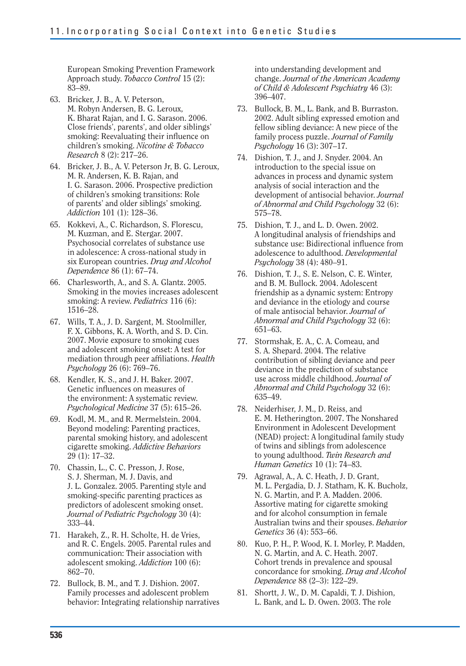European Smoking Prevention Framework Approach study. *Tobacco Control* 15 (2): 83–89.

- 63. Bricker, J. B., A. V. Peterson, M. Robyn Andersen, B. G. Leroux, K. Bharat Rajan, and I. G. Sarason. 2006. Close friends', parents', and older siblings' smoking: Reevaluating their influence on children's smoking. *Nicotine & Tobacco Research* 8 (2): 217–26.
- 64. Bricker, J. B., A. V. Peterson Jr. B. G. Leroux, M. R. Andersen, K. B. Rajan, and I. G. Sarason. 2006. Prospective prediction of children's smoking transitions: Role of parents' and older siblings' smoking. *Addiction* 101 (1): 128–36.
- 65. Kokkevi, A., C. Richardson, S. Florescu, M. Kuzman, and E. Stergar. 2007. Psychosocial correlates of substance use in adolescence: A cross-national study in six European countries. *Drug and Alcohol Dependence* 86 (1): 67–74.
- 66. Charlesworth, A., and S. A. Glantz. 2005. Smoking in the movies increases adolescent smoking: A review. *Pediatrics* 116 (6): 1516–28.
- 67. Wills, T. A., J. D. Sargent, M. Stoolmiller, F. X. Gibbons, K. A. Worth, and S. D. Cin. 2007. Movie exposure to smoking cues and adolescent smoking onset: A test for mediation through peer affiliations. *Health Psychology* 26 (6): 769–76.
- 68. Kendler, K. S., and J. H. Baker. 2007. Genetic influences on measures of the environment: A systematic review. *Psychological Medicine* 37 (5): 615–26.
- 69. Kodl, M. M., and R. Mermelstein. 2004. Beyond modeling: Parenting practices, parental smoking history, and adolescent cigarette smoking. *Addictive Behaviors*  29 (1): 17–32.
- 70. Chassin, L., C. C. Presson, J. Rose, S. J. Sherman, M. J. Davis, and J. L. Gonzalez. 2005. Parenting style and smoking-specific parenting practices as predictors of adolescent smoking onset. *Journal of Pediatric Psychology* 30 (4): 333–44.
- 71. Harakeh, Z., R. H. Scholte, H. de Vries, and R. C. Engels. 2005. Parental rules and communication: Their association with adolescent smoking. *Addiction* 100 (6): 862–70.
- 72. Bullock, B. M., and T. J. Dishion. 2007. Family processes and adolescent problem behavior: Integrating relationship narratives

into understanding development and change. *Journal of the American Academy of Child & Adolescent Psychiatry* 46 (3): 396–407.

- 73. Bullock, B. M., L. Bank, and B. Burraston. 2002. Adult sibling expressed emotion and fellow sibling deviance: A new piece of the family process puzzle. *Journal of Family Psychology* 16 (3): 307–17.
- 74. Dishion, T. J., and J. Snyder. 2004. An introduction to the special issue on advances in process and dynamic system analysis of social interaction and the development of antisocial behavior. *Journal of Abnormal and Child Psychology* 32 (6): 575–78.
- 75. Dishion, T. J., and L. D. Owen. 2002. A longitudinal analysis of friendships and substance use: Bidirectional influence from adolescence to adulthood. *Developmental Psychology* 38 (4): 480–91.
- 76. Dishion, T. J., S. E. Nelson, C. E. Winter, and B. M. Bullock. 2004. Adolescent friendship as a dynamic system: Entropy and deviance in the etiology and course of male antisocial behavior. *Journal of Abnormal and Child Psychology* 32 (6): 651–63.
- 77. Stormshak, E. A., C. A. Comeau, and S. A. Shepard. 2004. The relative contribution of sibling deviance and peer deviance in the prediction of substance use across middle childhood. *Journal of Abnormal and Child Psychology* 32 (6): 635–49.
- 78. Neiderhiser, J. M., D. Reiss, and E. M. Hetherington. 2007. The Nonshared Environment in Adolescent Development (NEAD) project: A longitudinal family study of twins and siblings from adolescence to young adulthood. *Twin Research and Human Genetics* 10 (1): 74–83.
- 79. Agrawal, A., A. C. Heath, J. D. Grant, M. L. Pergadia, D. J. Statham, K. K. Bucholz, N. G. Martin, and P. A. Madden. 2006. Assortive mating for cigarette smoking and for alcohol consumption in female Australian twins and their spouses. *Behavior Genetics* 36 (4): 553–66.
- 80. Kuo, P. H., P. Wood, K. I. Morley, P. Madden, N. G. Martin, and A. C. Heath. 2007. Cohort trends in prevalence and spousal concordance for smoking. *Drug and Alcohol Dependence* 88 (2–3): 122–29.
- 81. Shortt, J. W., D. M. Capaldi, T. J. Dishion, L. Bank, and L. D. Owen. 2003. The role